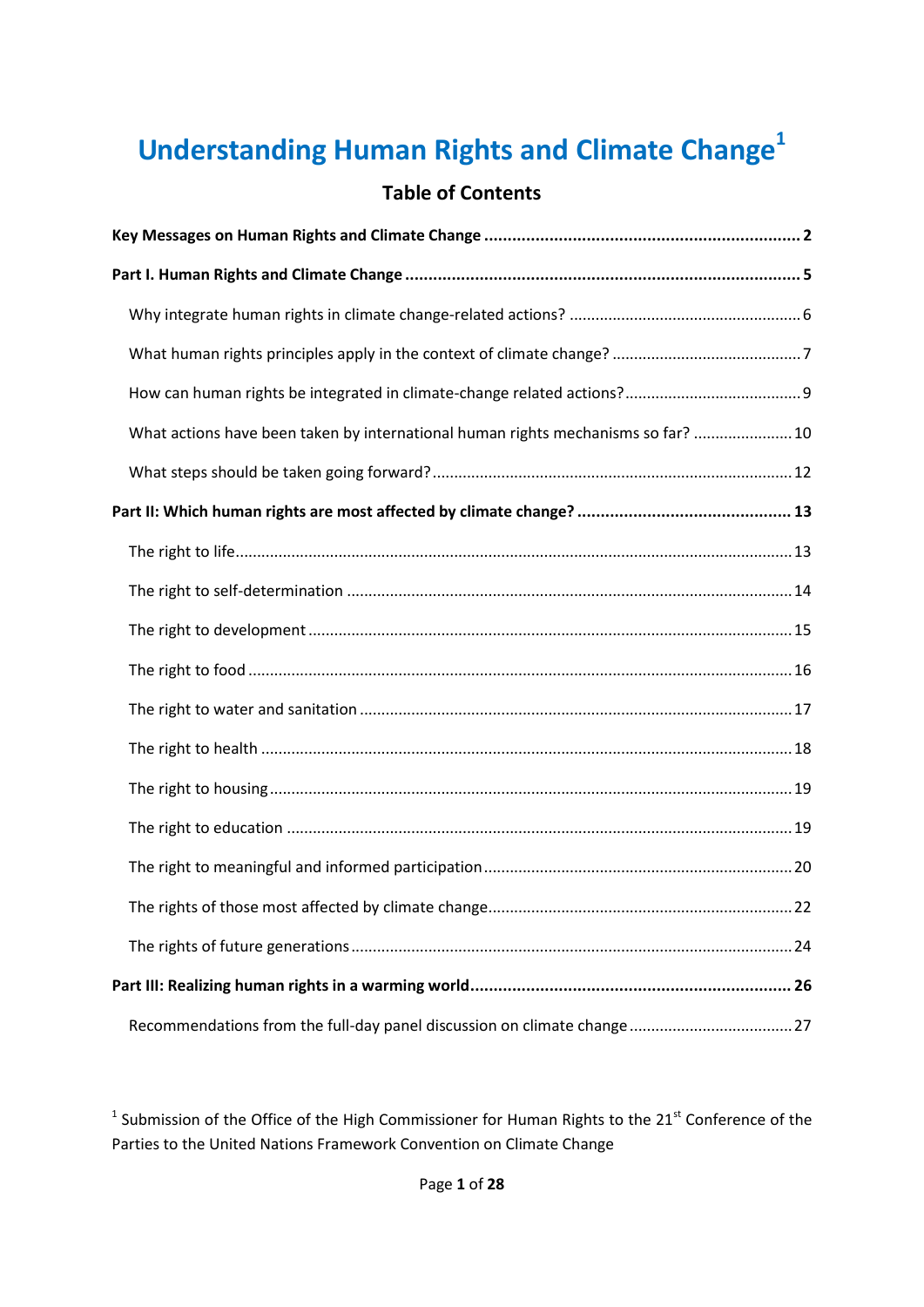# **Understanding Human Rights and Climate Change<sup>1</sup>**

# **Table of Contents**

| What actions have been taken by international human rights mechanisms so far?  10 |
|-----------------------------------------------------------------------------------|
|                                                                                   |
|                                                                                   |
|                                                                                   |
|                                                                                   |
|                                                                                   |
|                                                                                   |
|                                                                                   |
|                                                                                   |
|                                                                                   |
|                                                                                   |
|                                                                                   |
|                                                                                   |
|                                                                                   |
|                                                                                   |
|                                                                                   |

<sup>1</sup> Submission of the Office of the High Commissioner for Human Rights to the 21<sup>st</sup> Conference of the Parties to the United Nations Framework Convention on Climate Change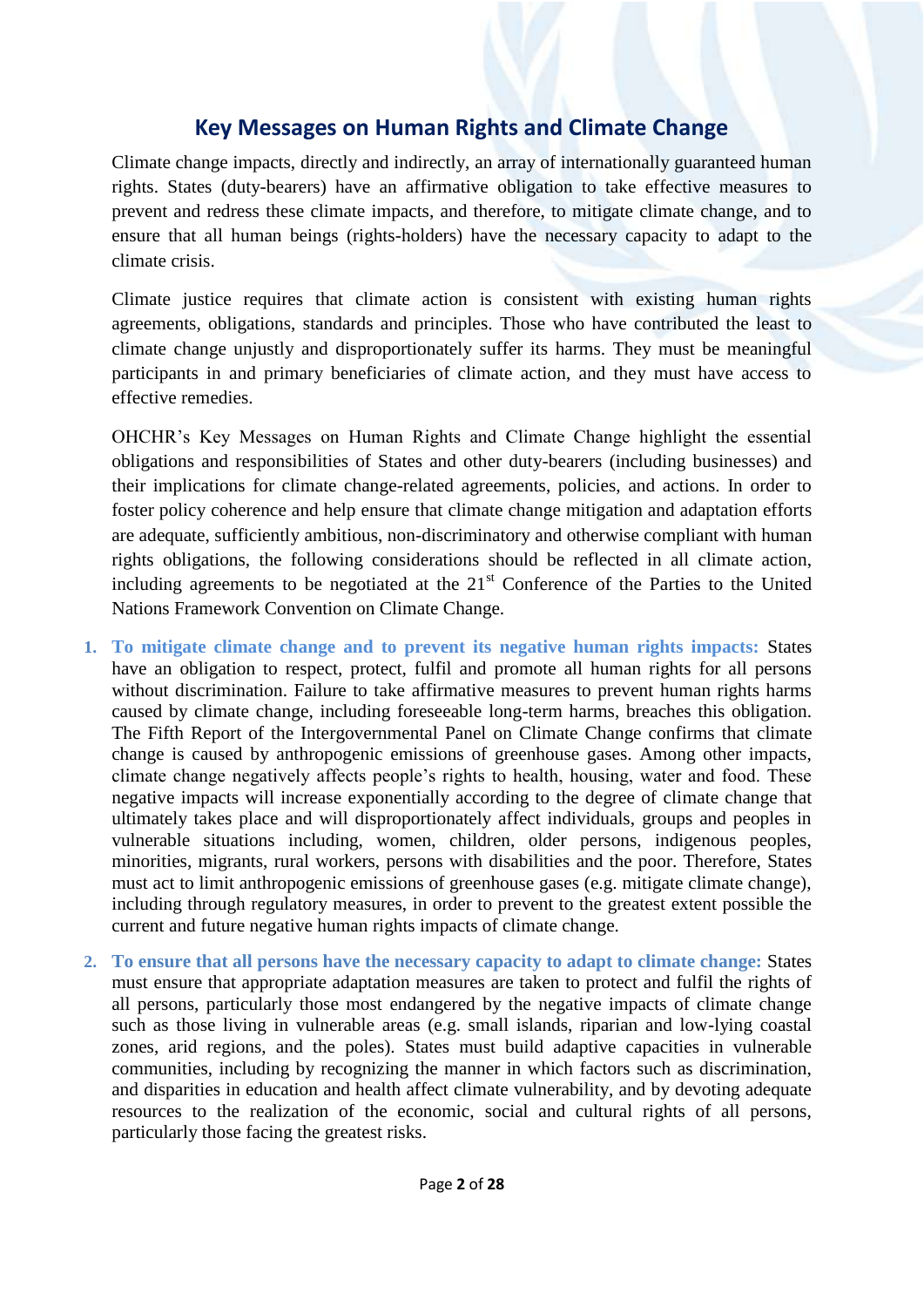# **Key Messages on Human Rights and Climate Change**

<span id="page-1-0"></span>Climate change impacts, directly and indirectly, an array of internationally guaranteed human rights. States (duty-bearers) have an affirmative obligation to take effective measures to prevent and redress these climate impacts, and therefore, to mitigate climate change, and to ensure that all human beings (rights-holders) have the necessary capacity to adapt to the climate crisis.

Climate justice requires that climate action is consistent with existing human rights agreements, obligations, standards and principles. Those who have contributed the least to climate change unjustly and disproportionately suffer its harms. They must be meaningful participants in and primary beneficiaries of climate action, and they must have access to effective remedies.

OHCHR's Key Messages on Human Rights and Climate Change highlight the essential obligations and responsibilities of States and other duty-bearers (including businesses) and their implications for climate change-related agreements, policies, and actions. In order to foster policy coherence and help ensure that climate change mitigation and adaptation efforts are adequate, sufficiently ambitious, non-discriminatory and otherwise compliant with human rights obligations, the following considerations should be reflected in all climate action, including agreements to be negotiated at the  $21<sup>st</sup>$  Conference of the Parties to the United Nations Framework Convention on Climate Change.

- **1. To mitigate climate change and to prevent its negative human rights impacts:** States have an obligation to respect, protect, fulfil and promote all human rights for all persons without discrimination. Failure to take affirmative measures to prevent human rights harms caused by climate change, including foreseeable long-term harms, breaches this obligation. The Fifth Report of the Intergovernmental Panel on Climate Change confirms that climate change is caused by anthropogenic emissions of greenhouse gases. Among other impacts, climate change negatively affects people's rights to health, housing, water and food. These negative impacts will increase exponentially according to the degree of climate change that ultimately takes place and will disproportionately affect individuals, groups and peoples in vulnerable situations including, women, children, older persons, indigenous peoples, minorities, migrants, rural workers, persons with disabilities and the poor. Therefore, States must act to limit anthropogenic emissions of greenhouse gases (e.g. mitigate climate change), including through regulatory measures, in order to prevent to the greatest extent possible the current and future negative human rights impacts of climate change.
- **2. To ensure that all persons have the necessary capacity to adapt to climate change:** States must ensure that appropriate adaptation measures are taken to protect and fulfil the rights of all persons, particularly those most endangered by the negative impacts of climate change such as those living in vulnerable areas (e.g. small islands, riparian and low-lying coastal zones, arid regions, and the poles). States must build adaptive capacities in vulnerable communities, including by recognizing the manner in which factors such as discrimination, and disparities in education and health affect climate vulnerability, and by devoting adequate resources to the realization of the economic, social and cultural rights of all persons, particularly those facing the greatest risks.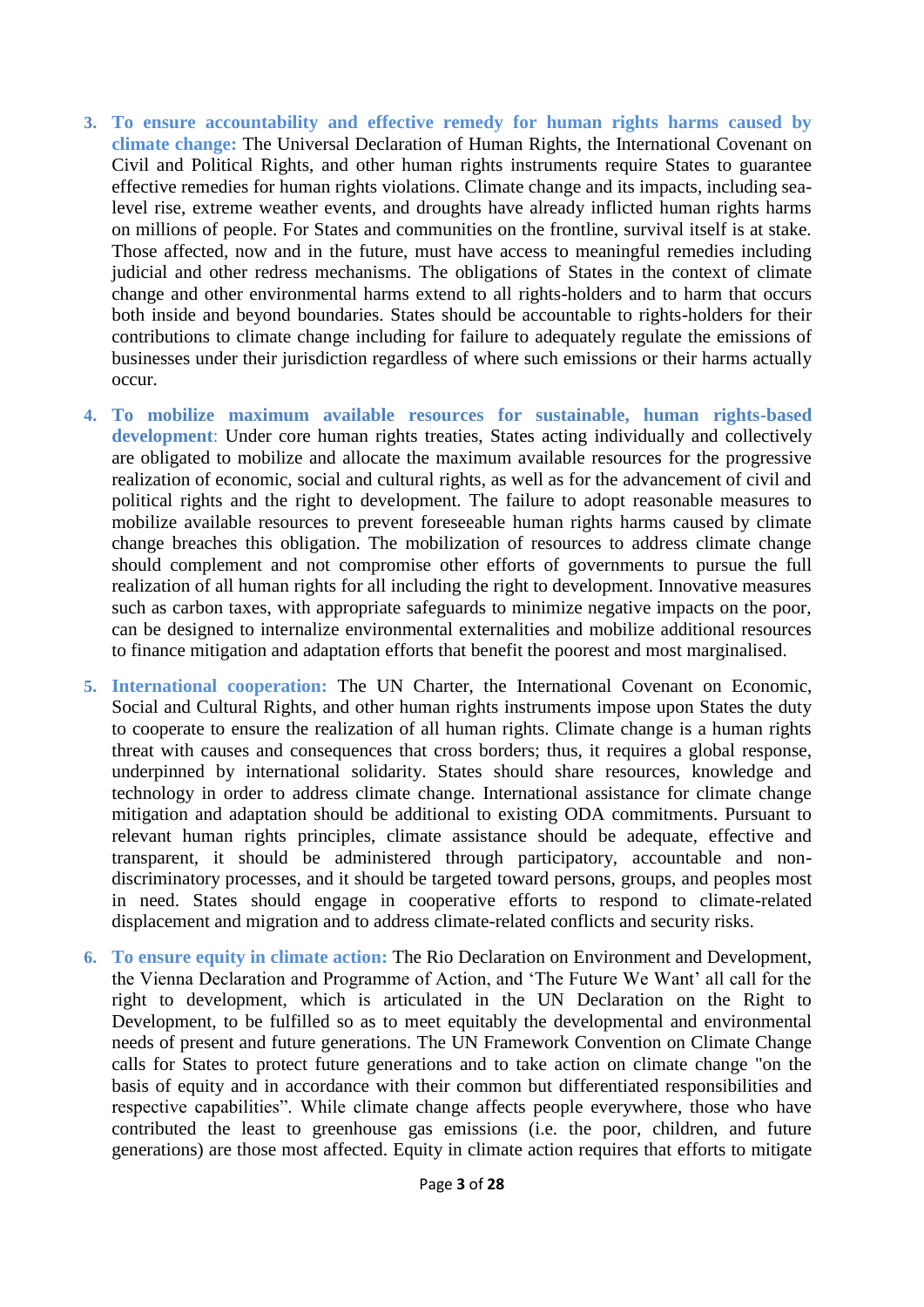- **3. To ensure accountability and effective remedy for human rights harms caused by climate change:** The Universal Declaration of Human Rights, the International Covenant on Civil and Political Rights, and other human rights instruments require States to guarantee effective remedies for human rights violations. Climate change and its impacts, including sealevel rise, extreme weather events, and droughts have already inflicted human rights harms on millions of people. For States and communities on the frontline, survival itself is at stake. Those affected, now and in the future, must have access to meaningful remedies including judicial and other redress mechanisms. The obligations of States in the context of climate change and other environmental harms extend to all rights-holders and to harm that occurs both inside and beyond boundaries. States should be accountable to rights-holders for their contributions to climate change including for failure to adequately regulate the emissions of businesses under their jurisdiction regardless of where such emissions or their harms actually occur.
- **4. To mobilize maximum available resources for sustainable, human rights-based development**: Under core human rights treaties, States acting individually and collectively are obligated to mobilize and allocate the maximum available resources for the progressive realization of economic, social and cultural rights, as well as for the advancement of civil and political rights and the right to development. The failure to adopt reasonable measures to mobilize available resources to prevent foreseeable human rights harms caused by climate change breaches this obligation. The mobilization of resources to address climate change should complement and not compromise other efforts of governments to pursue the full realization of all human rights for all including the right to development. Innovative measures such as carbon taxes, with appropriate safeguards to minimize negative impacts on the poor, can be designed to internalize environmental externalities and mobilize additional resources to finance mitigation and adaptation efforts that benefit the poorest and most marginalised.
- **5. International cooperation:** The UN Charter, the International Covenant on Economic, Social and Cultural Rights, and other human rights instruments impose upon States the duty to cooperate to ensure the realization of all human rights. Climate change is a human rights threat with causes and consequences that cross borders; thus, it requires a global response, underpinned by international solidarity. States should share resources, knowledge and technology in order to address climate change. International assistance for climate change mitigation and adaptation should be additional to existing ODA commitments. Pursuant to relevant human rights principles, climate assistance should be adequate, effective and transparent, it should be administered through participatory, accountable and nondiscriminatory processes, and it should be targeted toward persons, groups, and peoples most in need. States should engage in cooperative efforts to respond to climate-related displacement and migration and to address climate-related conflicts and security risks.
- **6. To ensure equity in climate action:** The Rio Declaration on Environment and Development, the Vienna Declaration and Programme of Action, and 'The Future We Want' all call for the right to development, which is articulated in the UN Declaration on the Right to Development, to be fulfilled so as to meet equitably the developmental and environmental needs of present and future generations. The UN Framework Convention on Climate Change calls for States to protect future generations and to take action on climate change "on the basis of equity and in accordance with their common but differentiated responsibilities and respective capabilities". While climate change affects people everywhere, those who have contributed the least to greenhouse gas emissions (i.e. the poor, children, and future generations) are those most affected. Equity in climate action requires that efforts to mitigate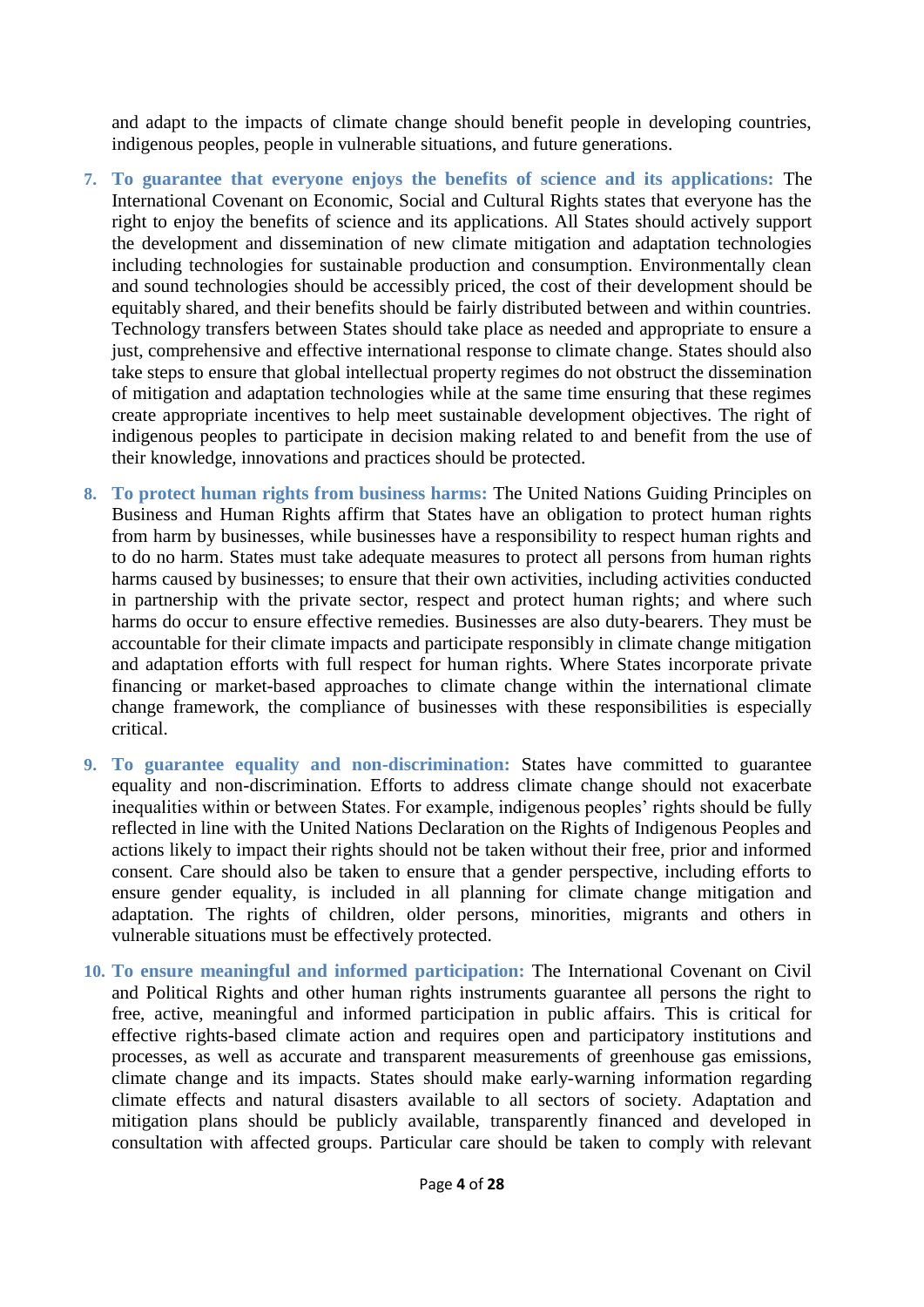and adapt to the impacts of climate change should benefit people in developing countries, indigenous peoples, people in vulnerable situations, and future generations.

- **7. To guarantee that everyone enjoys the benefits of science and its applications:** The International Covenant on Economic, Social and Cultural Rights states that everyone has the right to enjoy the benefits of science and its applications. All States should actively support the development and dissemination of new climate mitigation and adaptation technologies including technologies for sustainable production and consumption. Environmentally clean and sound technologies should be accessibly priced, the cost of their development should be equitably shared, and their benefits should be fairly distributed between and within countries. Technology transfers between States should take place as needed and appropriate to ensure a just, comprehensive and effective international response to climate change. States should also take steps to ensure that global intellectual property regimes do not obstruct the dissemination of mitigation and adaptation technologies while at the same time ensuring that these regimes create appropriate incentives to help meet sustainable development objectives. The right of indigenous peoples to participate in decision making related to and benefit from the use of their knowledge, innovations and practices should be protected.
- **8. To protect human rights from business harms:** The United Nations Guiding Principles on Business and Human Rights affirm that States have an obligation to protect human rights from harm by businesses, while businesses have a responsibility to respect human rights and to do no harm. States must take adequate measures to protect all persons from human rights harms caused by businesses; to ensure that their own activities, including activities conducted in partnership with the private sector, respect and protect human rights; and where such harms do occur to ensure effective remedies. Businesses are also duty-bearers. They must be accountable for their climate impacts and participate responsibly in climate change mitigation and adaptation efforts with full respect for human rights. Where States incorporate private financing or market-based approaches to climate change within the international climate change framework, the compliance of businesses with these responsibilities is especially critical.
- **9. To guarantee equality and non-discrimination:** States have committed to guarantee equality and non-discrimination. Efforts to address climate change should not exacerbate inequalities within or between States. For example, indigenous peoples' rights should be fully reflected in line with the United Nations Declaration on the Rights of Indigenous Peoples and actions likely to impact their rights should not be taken without their free, prior and informed consent. Care should also be taken to ensure that a gender perspective, including efforts to ensure gender equality, is included in all planning for climate change mitigation and adaptation. The rights of children, older persons, minorities, migrants and others in vulnerable situations must be effectively protected.
- **10. To ensure meaningful and informed participation:** The International Covenant on Civil and Political Rights and other human rights instruments guarantee all persons the right to free, active, meaningful and informed participation in public affairs. This is critical for effective rights-based climate action and requires open and participatory institutions and processes, as well as accurate and transparent measurements of greenhouse gas emissions, climate change and its impacts. States should make early-warning information regarding climate effects and natural disasters available to all sectors of society. Adaptation and mitigation plans should be publicly available, transparently financed and developed in consultation with affected groups. Particular care should be taken to comply with relevant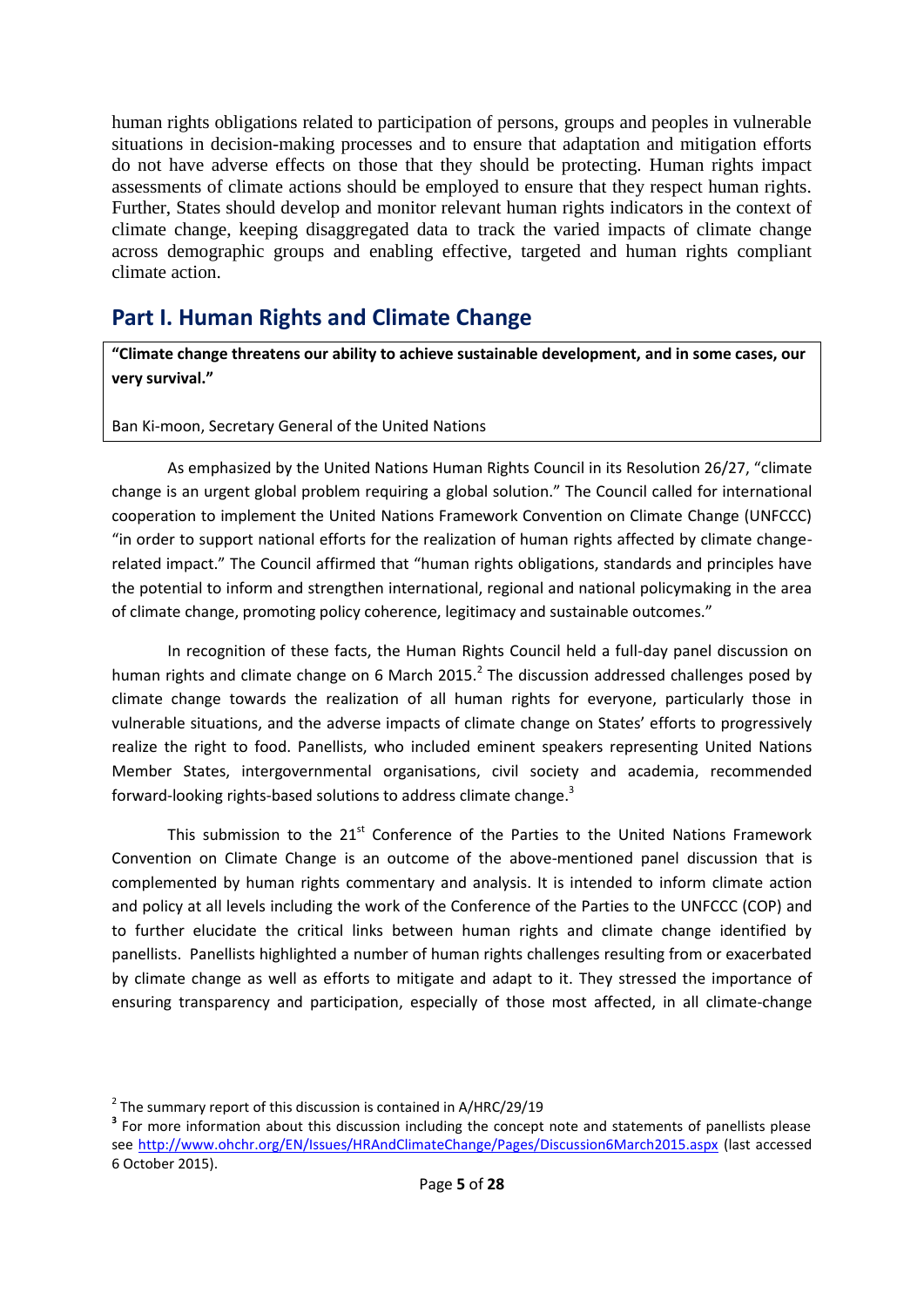human rights obligations related to participation of persons, groups and peoples in vulnerable situations in decision-making processes and to ensure that adaptation and mitigation efforts do not have adverse effects on those that they should be protecting. Human rights impact assessments of climate actions should be employed to ensure that they respect human rights. Further, States should develop and monitor relevant human rights indicators in the context of climate change, keeping disaggregated data to track the varied impacts of climate change across demographic groups and enabling effective, targeted and human rights compliant climate action.

# <span id="page-4-0"></span>**Part I. Human Rights and Climate Change**

**"Climate change threatens our ability to achieve sustainable development, and in some cases, our very survival."**

Ban Ki-moon, Secretary General of the United Nations

As emphasized by the United Nations Human Rights Council in its Resolution 26/27, "climate change is an urgent global problem requiring a global solution." The Council called for international cooperation to implement the United Nations Framework Convention on Climate Change (UNFCCC) "in order to support national efforts for the realization of human rights affected by climate changerelated impact." The Council affirmed that "human rights obligations, standards and principles have the potential to inform and strengthen international, regional and national policymaking in the area of climate change, promoting policy coherence, legitimacy and sustainable outcomes."

In recognition of these facts, the Human Rights Council held a full-day panel discussion on human rights and climate change on 6 March 2015. $^2$  The discussion addressed challenges posed by climate change towards the realization of all human rights for everyone, particularly those in vulnerable situations, and the adverse impacts of climate change on States' efforts to progressively realize the right to food. Panellists, who included eminent speakers representing United Nations Member States, intergovernmental organisations, civil society and academia, recommended forward-looking rights-based solutions to address climate change.<sup>3</sup>

This submission to the  $21^{st}$  Conference of the Parties to the United Nations Framework Convention on Climate Change is an outcome of the above-mentioned panel discussion that is complemented by human rights commentary and analysis. It is intended to inform climate action and policy at all levels including the work of the Conference of the Parties to the UNFCCC (COP) and to further elucidate the critical links between human rights and climate change identified by panellists. Panellists highlighted a number of human rights challenges resulting from or exacerbated by climate change as well as efforts to mitigate and adapt to it. They stressed the importance of ensuring transparency and participation, especially of those most affected, in all climate-change

 $2$  The summary report of this discussion is contained in A/HRC/29/19

<sup>&</sup>lt;sup>3</sup> For more information about this discussion including the concept note and statements of panellists please see<http://www.ohchr.org/EN/Issues/HRAndClimateChange/Pages/Discussion6March2015.aspx> (last accessed 6 October 2015).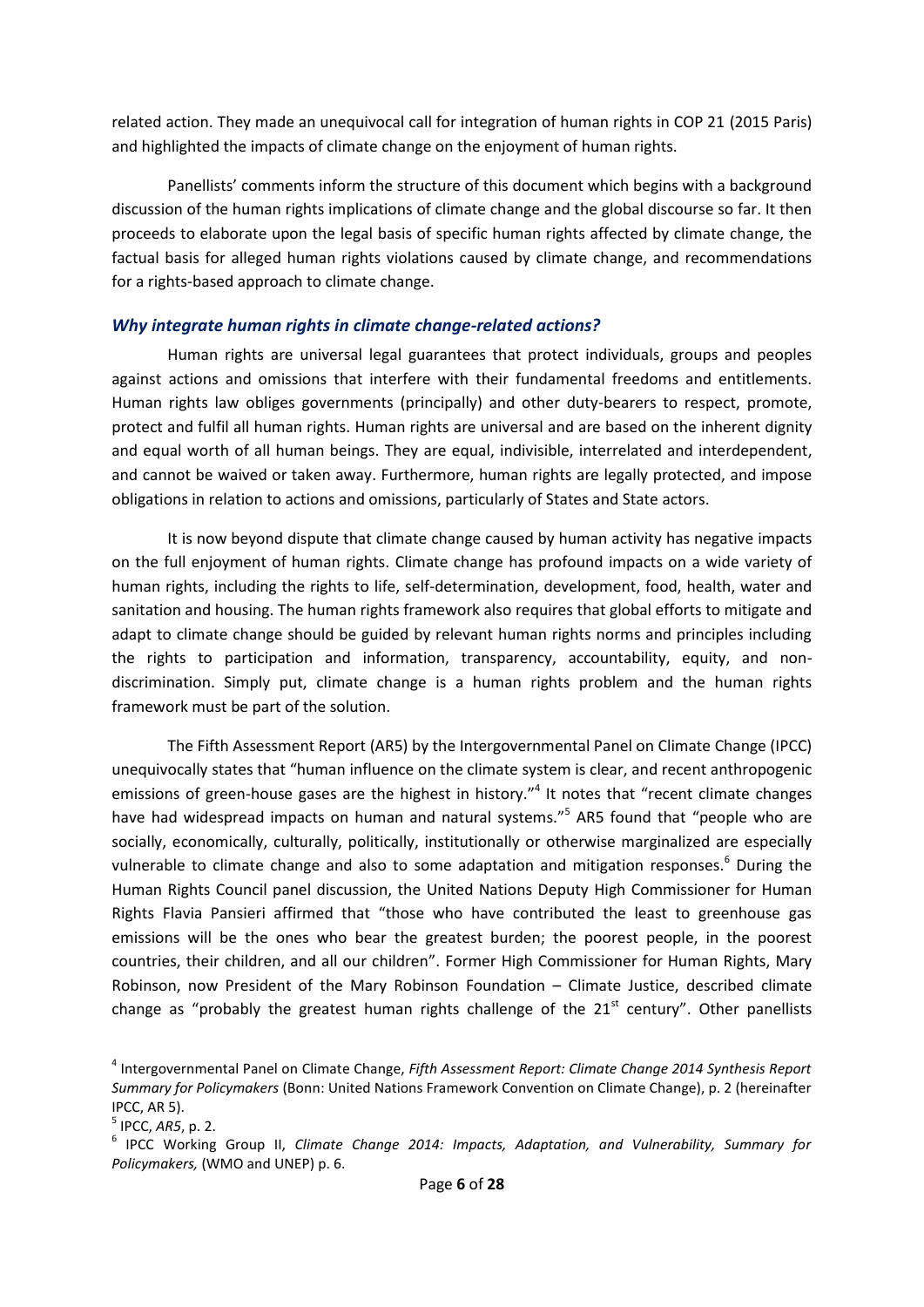related action. They made an unequivocal call for integration of human rights in COP 21 (2015 Paris) and highlighted the impacts of climate change on the enjoyment of human rights.

Panellists' comments inform the structure of this document which begins with a background discussion of the human rights implications of climate change and the global discourse so far. It then proceeds to elaborate upon the legal basis of specific human rights affected by climate change, the factual basis for alleged human rights violations caused by climate change, and recommendations for a rights-based approach to climate change.

#### <span id="page-5-0"></span>*Why integrate human rights in climate change-related actions?*

Human rights are universal legal guarantees that protect individuals, groups and peoples against actions and omissions that interfere with their fundamental freedoms and entitlements. Human rights law obliges governments (principally) and other duty-bearers to respect, promote, protect and fulfil all human rights. Human rights are universal and are based on the inherent dignity and equal worth of all human beings. They are equal, indivisible, interrelated and interdependent, and cannot be waived or taken away. Furthermore, human rights are legally protected, and impose obligations in relation to actions and omissions, particularly of States and State actors.

It is now beyond dispute that climate change caused by human activity has negative impacts on the full enjoyment of human rights. Climate change has profound impacts on a wide variety of human rights, including the rights to life, self-determination, development, food, health, water and sanitation and housing. The human rights framework also requires that global efforts to mitigate and adapt to climate change should be guided by relevant human rights norms and principles including the rights to participation and information, transparency, accountability, equity, and nondiscrimination. Simply put, climate change is a human rights problem and the human rights framework must be part of the solution.

The Fifth Assessment Report (AR5) by the Intergovernmental Panel on Climate Change (IPCC) unequivocally states that "human influence on the climate system is clear, and recent anthropogenic emissions of green-house gases are the highest in history."<sup>4</sup> It notes that "recent climate changes have had widespread impacts on human and natural systems."<sup>5</sup> AR5 found that "people who are socially, economically, culturally, politically, institutionally or otherwise marginalized are especially vulnerable to climate change and also to some adaptation and mitigation responses.<sup>6</sup> During the Human Rights Council panel discussion, the United Nations Deputy High Commissioner for Human Rights Flavia Pansieri affirmed that "those who have contributed the least to greenhouse gas emissions will be the ones who bear the greatest burden; the poorest people, in the poorest countries, their children, and all our children". Former High Commissioner for Human Rights, Mary Robinson, now President of the Mary Robinson Foundation – Climate Justice, described climate change as "probably the greatest human rights challenge of the  $21<sup>st</sup>$  century". Other panellists

<sup>4</sup> Intergovernmental Panel on Climate Change, *Fifth Assessment Report: Climate Change 2014 Synthesis Report Summary for Policymakers* (Bonn: United Nations Framework Convention on Climate Change), p. 2 (hereinafter IPCC, AR 5).

<sup>5</sup> IPCC, *AR5*, p. 2.

<sup>&</sup>lt;sup>6</sup> IPCC Working Group II, *Climate Change 2014: Impacts, Adaptation, and Vulnerability, Summary for Policymakers,* (WMO and UNEP) p. 6.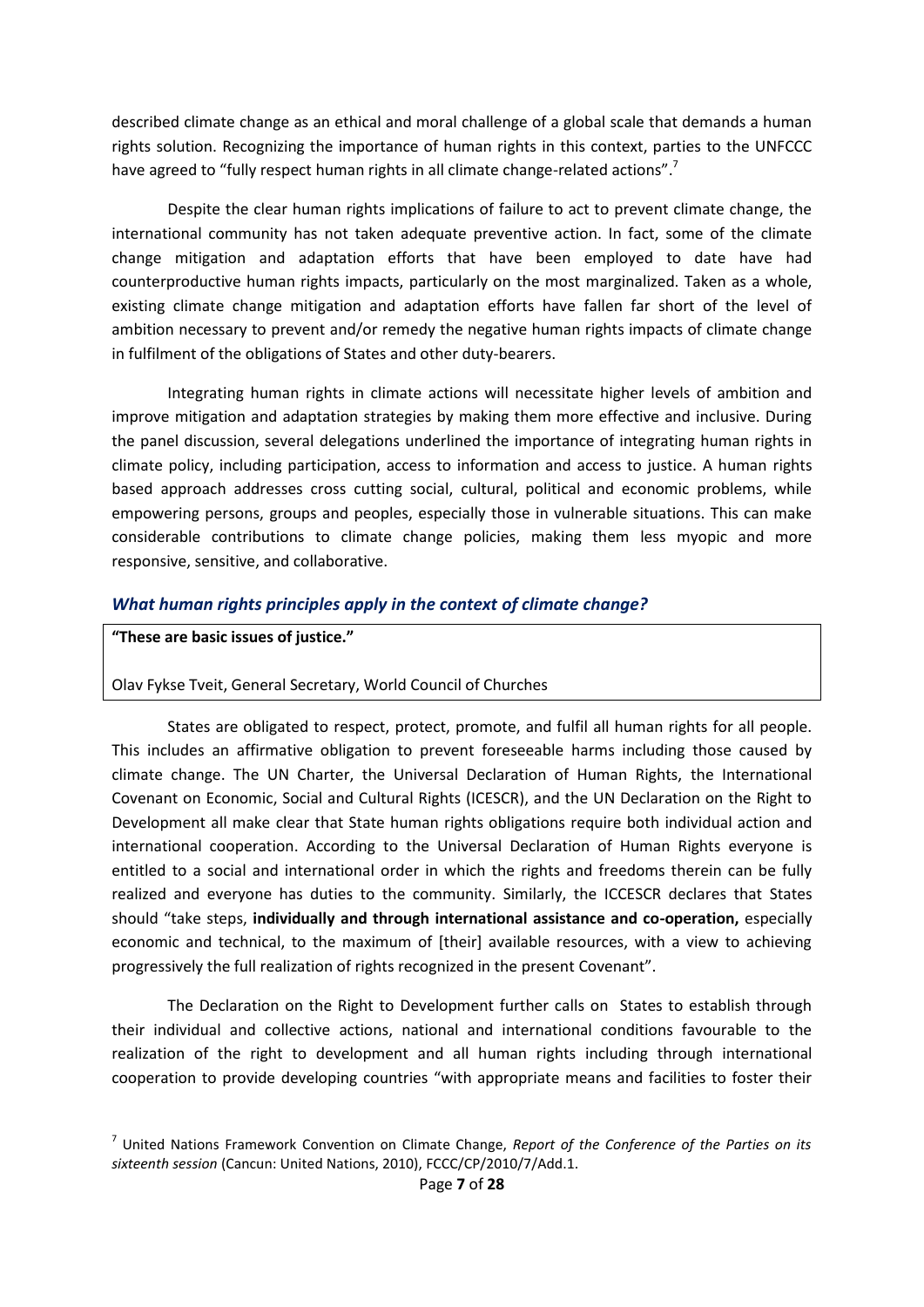described climate change as an ethical and moral challenge of a global scale that demands a human rights solution. Recognizing the importance of human rights in this context, parties to the UNFCCC have agreed to "fully respect human rights in all climate change-related actions".<sup>7</sup>

Despite the clear human rights implications of failure to act to prevent climate change, the international community has not taken adequate preventive action. In fact, some of the climate change mitigation and adaptation efforts that have been employed to date have had counterproductive human rights impacts, particularly on the most marginalized. Taken as a whole, existing climate change mitigation and adaptation efforts have fallen far short of the level of ambition necessary to prevent and/or remedy the negative human rights impacts of climate change in fulfilment of the obligations of States and other duty-bearers.

Integrating human rights in climate actions will necessitate higher levels of ambition and improve mitigation and adaptation strategies by making them more effective and inclusive. During the panel discussion, several delegations underlined the importance of integrating human rights in climate policy, including participation, access to information and access to justice. A human rights based approach addresses cross cutting social, cultural, political and economic problems, while empowering persons, groups and peoples, especially those in vulnerable situations. This can make considerable contributions to climate change policies, making them less myopic and more responsive, sensitive, and collaborative.

#### <span id="page-6-0"></span>*What human rights principles apply in the context of climate change?*

**"These are basic issues of justice."**

Olav Fykse Tveit, General Secretary, World Council of Churches

States are obligated to respect, protect, promote, and fulfil all human rights for all people. This includes an affirmative obligation to prevent foreseeable harms including those caused by climate change. The UN Charter, the Universal Declaration of Human Rights, the International Covenant on Economic, Social and Cultural Rights (ICESCR), and the UN Declaration on the Right to Development all make clear that State human rights obligations require both individual action and international cooperation. According to the Universal Declaration of Human Rights everyone is entitled to a social and international order in which the rights and freedoms therein can be fully realized and everyone has duties to the community. Similarly, the ICCESCR declares that States should "take steps, **individually and through international assistance and co-operation,** especially economic and technical, to the maximum of [their] available resources, with a view to achieving progressively the full realization of rights recognized in the present Covenant".

The Declaration on the Right to Development further calls on States to establish through their individual and collective actions, national and international conditions favourable to the realization of the right to development and all human rights including through international cooperation to provide developing countries "with appropriate means and facilities to foster their

<sup>7</sup> United Nations Framework Convention on Climate Change, *Report of the Conference of the Parties on its sixteenth session* (Cancun: United Nations, 2010), FCCC/CP/2010/7/Add.1.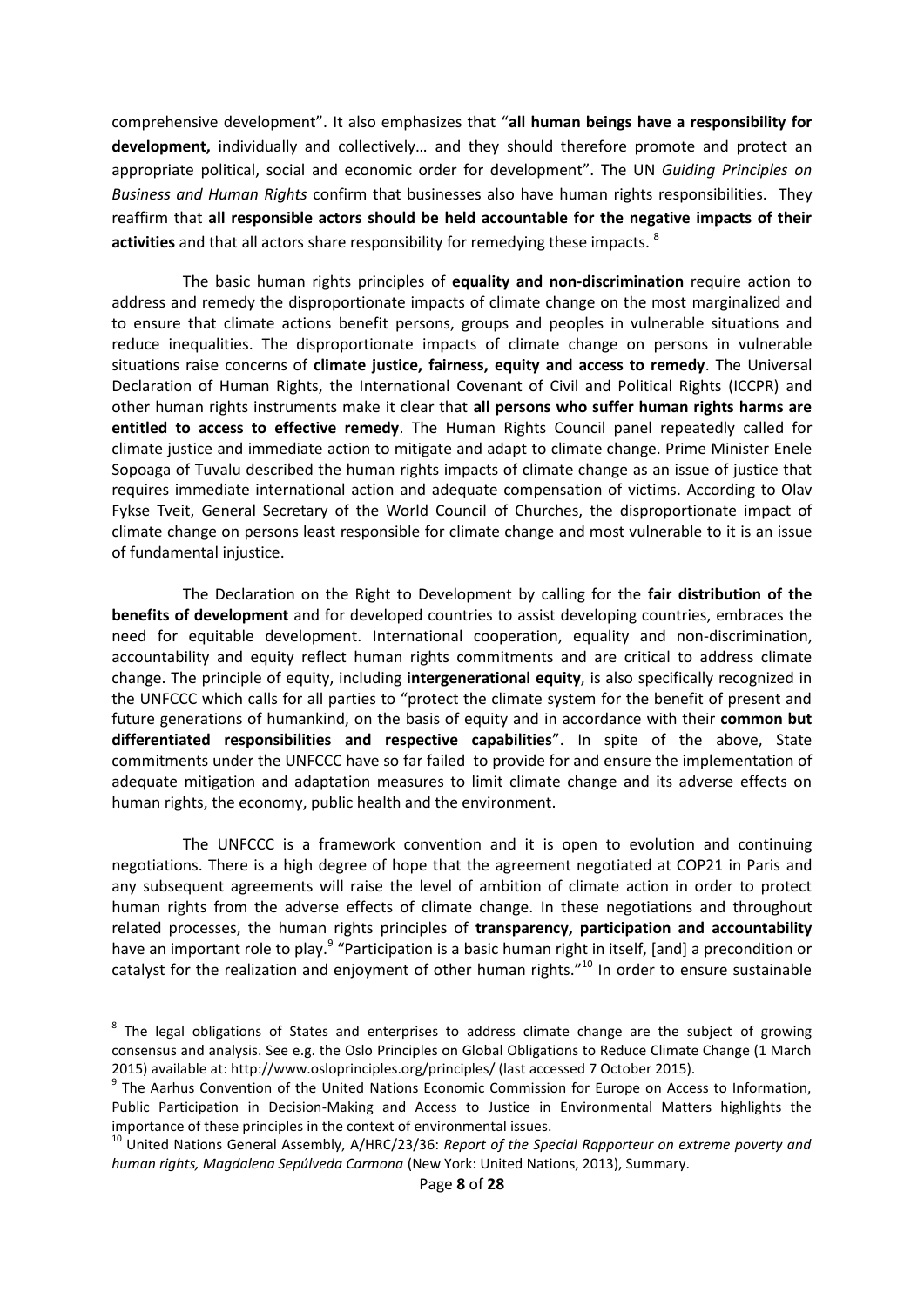comprehensive development". It also emphasizes that "**all human beings have a responsibility for development,** individually and collectively… and they should therefore promote and protect an appropriate political, social and economic order for development". The UN *Guiding Principles on Business and Human Rights* confirm that businesses also have human rights responsibilities. They reaffirm that **all responsible actors should be held accountable for the negative impacts of their activities** and that all actors share responsibility for remedying these impacts. <sup>8</sup>

The basic human rights principles of **equality and non-discrimination** require action to address and remedy the disproportionate impacts of climate change on the most marginalized and to ensure that climate actions benefit persons, groups and peoples in vulnerable situations and reduce inequalities. The disproportionate impacts of climate change on persons in vulnerable situations raise concerns of **climate justice, fairness, equity and access to remedy**. The Universal Declaration of Human Rights, the International Covenant of Civil and Political Rights (ICCPR) and other human rights instruments make it clear that **all persons who suffer human rights harms are entitled to access to effective remedy**. The Human Rights Council panel repeatedly called for climate justice and immediate action to mitigate and adapt to climate change. Prime Minister Enele Sopoaga of Tuvalu described the human rights impacts of climate change as an issue of justice that requires immediate international action and adequate compensation of victims. According to Olav Fykse Tveit, General Secretary of the World Council of Churches, the disproportionate impact of climate change on persons least responsible for climate change and most vulnerable to it is an issue of fundamental injustice.

The Declaration on the Right to Development by calling for the **fair distribution of the benefits of development** and for developed countries to assist developing countries, embraces the need for equitable development. International cooperation, equality and non-discrimination, accountability and equity reflect human rights commitments and are critical to address climate change. The principle of equity, including **intergenerational equity**, is also specifically recognized in the UNFCCC which calls for all parties to "protect the climate system for the benefit of present and future generations of humankind, on the basis of equity and in accordance with their **common but differentiated responsibilities and respective capabilities**". In spite of the above, State commitments under the UNFCCC have so far failed to provide for and ensure the implementation of adequate mitigation and adaptation measures to limit climate change and its adverse effects on human rights, the economy, public health and the environment.

The UNFCCC is a framework convention and it is open to evolution and continuing negotiations. There is a high degree of hope that the agreement negotiated at COP21 in Paris and any subsequent agreements will raise the level of ambition of climate action in order to protect human rights from the adverse effects of climate change. In these negotiations and throughout related processes, the human rights principles of **transparency, participation and accountability** have an important role to play.<sup>9</sup> "Participation is a basic human right in itself, [and] a precondition or catalyst for the realization and enjoyment of other human rights."<sup>10</sup> In order to ensure sustainable

 $8$  The legal obligations of States and enterprises to address climate change are the subject of growing consensus and analysis. See e.g. the Oslo Principles on Global Obligations to Reduce Climate Change (1 March 2015) available at: http://www.osloprinciples.org/principles/ (last accessed 7 October 2015).

<sup>&</sup>lt;sup>9</sup> The Aarhus Convention of the United Nations Economic Commission for Europe on Access to Information, Public Participation in Decision-Making and Access to Justice in Environmental Matters highlights the importance of these principles in the context of environmental issues.

<sup>10</sup> United Nations General Assembly, A/HRC/23/36: *Report of the Special Rapporteur on extreme poverty and human rights, Magdalena Sepúlveda Carmona* (New York: United Nations, 2013), Summary.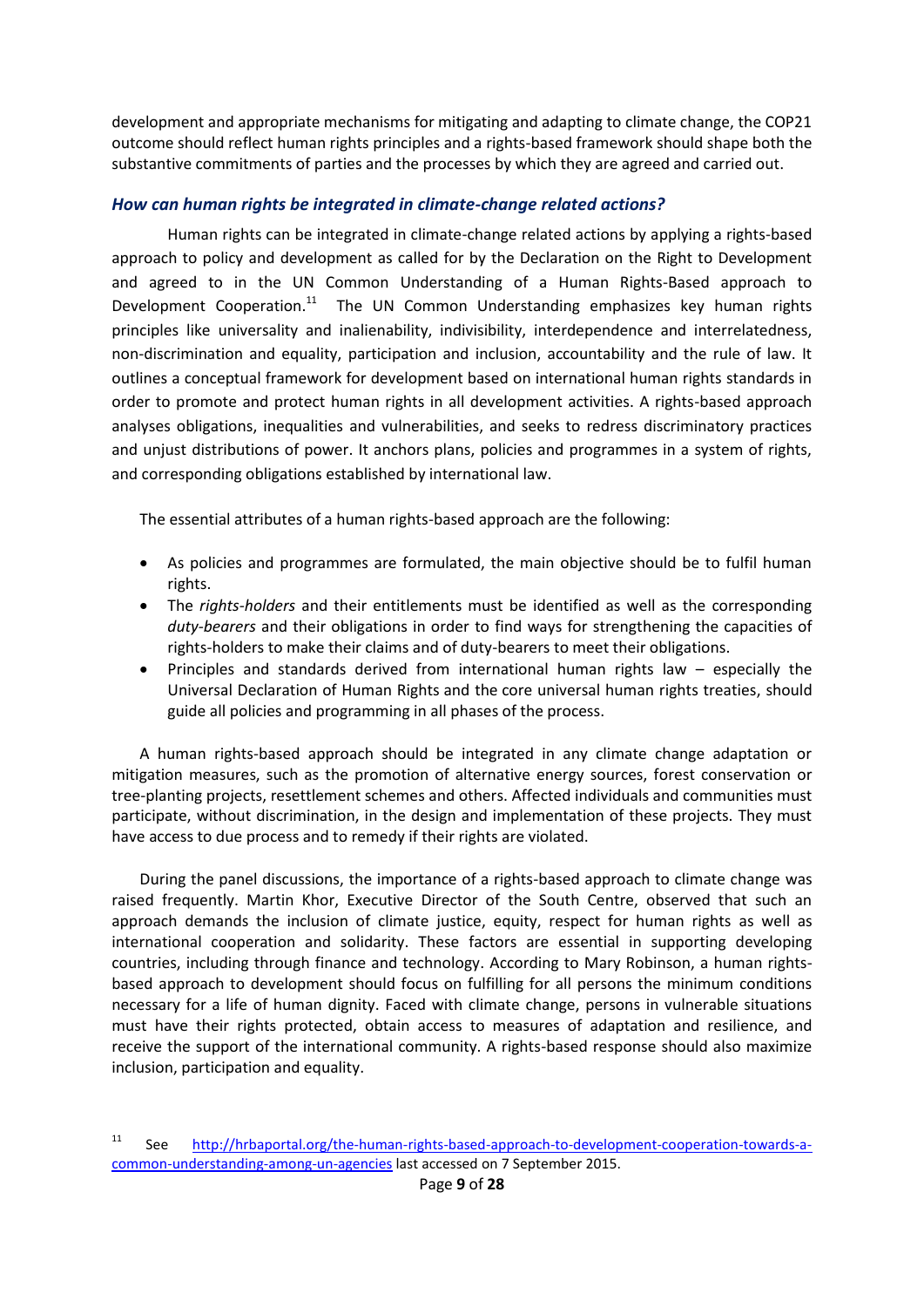development and appropriate mechanisms for mitigating and adapting to climate change, the COP21 outcome should reflect human rights principles and a rights-based framework should shape both the substantive commitments of parties and the processes by which they are agreed and carried out.

### <span id="page-8-0"></span>*How can human rights be integrated in climate-change related actions?*

Human rights can be integrated in climate-change related actions by applying a rights-based approach to policy and development as called for by the Declaration on the Right to Development and agreed to in the UN Common Understanding of a Human Rights-Based approach to Development Cooperation.<sup>11</sup> The UN Common Understanding emphasizes key human rights principles like universality and inalienability, indivisibility, interdependence and interrelatedness, non-discrimination and equality, participation and inclusion, accountability and the rule of law. It outlines a conceptual framework for development based on international human rights standards in order to promote and protect human rights in all development activities. A rights-based approach analyses obligations, inequalities and vulnerabilities, and seeks to redress discriminatory practices and unjust distributions of power. It anchors plans, policies and programmes in a system of rights, and corresponding obligations established by international law.

The essential attributes of a human rights-based approach are the following:

- As policies and programmes are formulated, the main objective should be to fulfil human rights.
- The *rights-holders* and their entitlements must be identified as well as the corresponding *duty-bearers* and their obligations in order to find ways for strengthening the capacities of rights-holders to make their claims and of duty-bearers to meet their obligations.
- Principles and standards derived from international human rights law especially the Universal Declaration of Human Rights and the core universal human rights treaties, should guide all policies and programming in all phases of the process.

A human rights-based approach should be integrated in any climate change adaptation or mitigation measures, such as the promotion of alternative energy sources, forest conservation or tree-planting projects, resettlement schemes and others. Affected individuals and communities must participate, without discrimination, in the design and implementation of these projects. They must have access to due process and to remedy if their rights are violated.

During the panel discussions, the importance of a rights-based approach to climate change was raised frequently. Martin Khor, Executive Director of the South Centre, observed that such an approach demands the inclusion of climate justice, equity, respect for human rights as well as international cooperation and solidarity. These factors are essential in supporting developing countries, including through finance and technology. According to Mary Robinson, a human rightsbased approach to development should focus on fulfilling for all persons the minimum conditions necessary for a life of human dignity. Faced with climate change, persons in vulnerable situations must have their rights protected, obtain access to measures of adaptation and resilience, and receive the support of the international community. A rights-based response should also maximize inclusion, participation and equality.

<sup>11</sup> See [http://hrbaportal.org/the-human-rights-based-approach-to-development-cooperation-towards-a](http://hrbaportal.org/the-human-rights-based-approach-to-development-cooperation-towards-a-common-understanding-among-un-agencies)[common-understanding-among-un-agencies](http://hrbaportal.org/the-human-rights-based-approach-to-development-cooperation-towards-a-common-understanding-among-un-agencies) last accessed on 7 September 2015.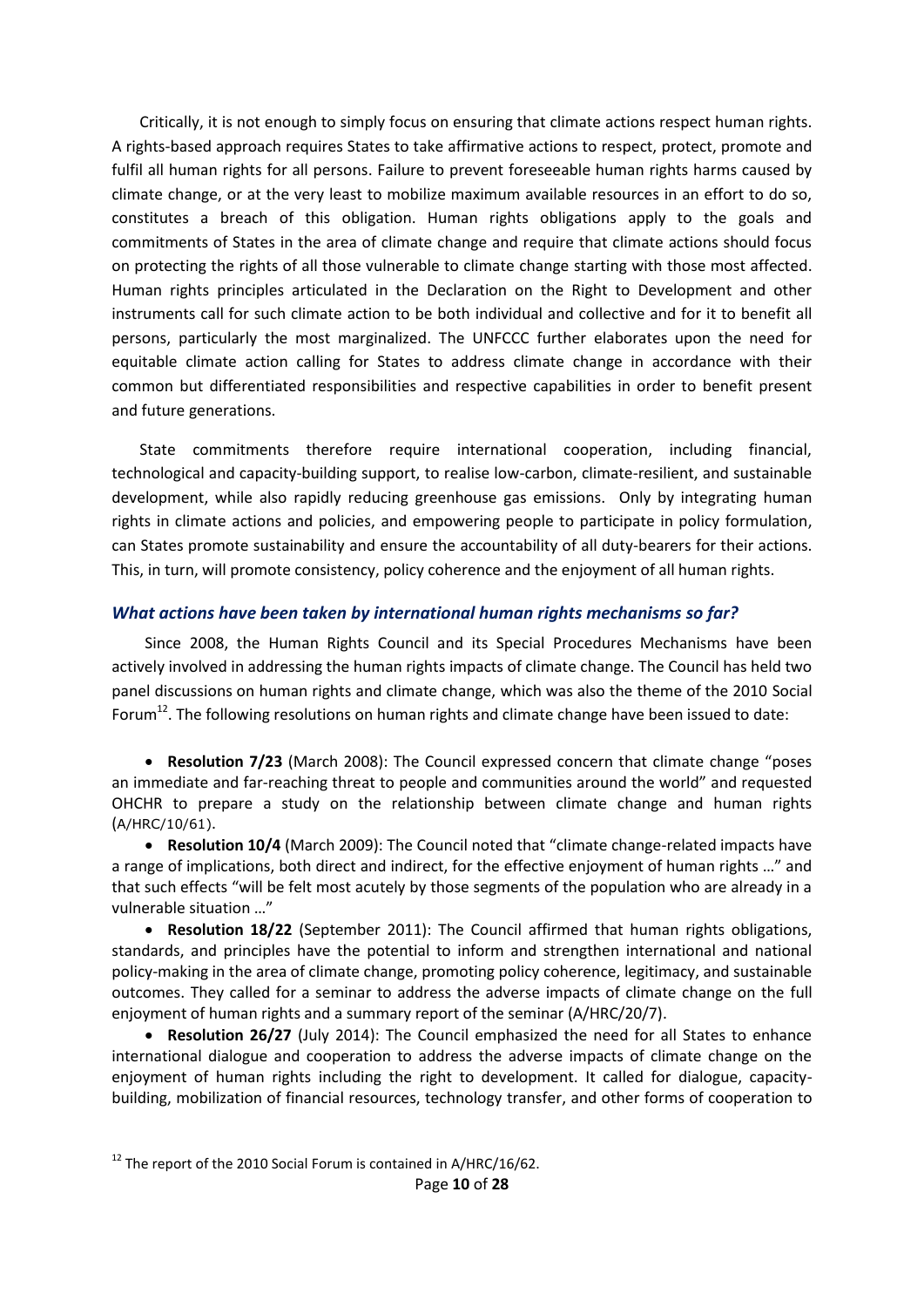Critically, it is not enough to simply focus on ensuring that climate actions respect human rights. A rights-based approach requires States to take affirmative actions to respect, protect, promote and fulfil all human rights for all persons. Failure to prevent foreseeable human rights harms caused by climate change, or at the very least to mobilize maximum available resources in an effort to do so, constitutes a breach of this obligation. Human rights obligations apply to the goals and commitments of States in the area of climate change and require that climate actions should focus on protecting the rights of all those vulnerable to climate change starting with those most affected. Human rights principles articulated in the Declaration on the Right to Development and other instruments call for such climate action to be both individual and collective and for it to benefit all persons, particularly the most marginalized. The UNFCCC further elaborates upon the need for equitable climate action calling for States to address climate change in accordance with their common but differentiated responsibilities and respective capabilities in order to benefit present and future generations.

State commitments therefore require international cooperation, including financial, technological and capacity-building support, to realise low-carbon, climate-resilient, and sustainable development, while also rapidly reducing greenhouse gas emissions. Only by integrating human rights in climate actions and policies, and empowering people to participate in policy formulation, can States promote sustainability and ensure the accountability of all duty-bearers for their actions. This, in turn, will promote consistency, policy coherence and the enjoyment of all human rights.

#### <span id="page-9-0"></span>*What actions have been taken by international human rights mechanisms so far?*

Since 2008, the Human Rights Council and its Special Procedures Mechanisms have been actively involved in addressing the human rights impacts of climate change. The Council has held two panel discussions on human rights and climate change, which was also the theme of the 2010 Social Forum<sup>12</sup>. The following resolutions on human rights and climate change have been issued to date:

 **Resolution 7/23** (March 2008): The Council expressed concern that climate change "poses an immediate and far-reaching threat to people and communities around the world" and requested OHCHR to prepare a study on the relationship between climate change and human rights (A/HRC/10/61).

 **Resolution 10/4** (March 2009): The Council noted that "climate change-related impacts have a range of implications, both direct and indirect, for the effective enjoyment of human rights …" and that such effects "will be felt most acutely by those segments of the population who are already in a vulnerable situation …"

 **Resolution 18/22** (September 2011): The Council affirmed that human rights obligations, standards, and principles have the potential to inform and strengthen international and national policy-making in the area of climate change, promoting policy coherence, legitimacy, and sustainable outcomes. They called for a seminar to address the adverse impacts of climate change on the full enjoyment of human rights and a summary report of the seminar (A/HRC/20/7).

 **Resolution 26/27** (July 2014): The Council emphasized the need for all States to enhance international dialogue and cooperation to address the adverse impacts of climate change on the enjoyment of human rights including the right to development. It called for dialogue, capacitybuilding, mobilization of financial resources, technology transfer, and other forms of cooperation to

 $12$  The report of the 2010 Social Forum is contained in A/HRC/16/62.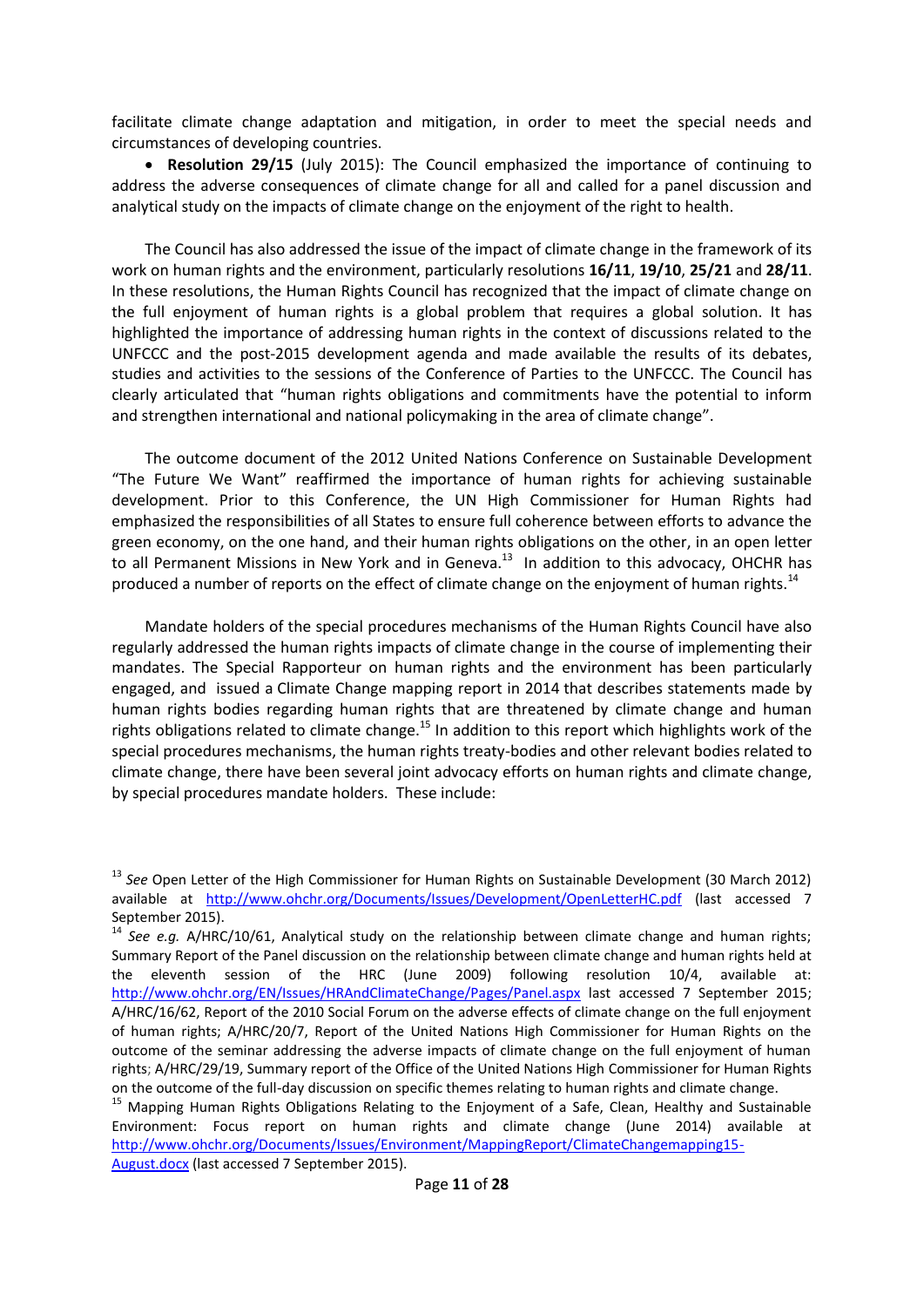facilitate climate change adaptation and mitigation, in order to meet the special needs and circumstances of developing countries.

 **Resolution 29/15** (July 2015): The Council emphasized the importance of continuing to address the adverse consequences of climate change for all and called for a panel discussion and analytical study on the impacts of climate change on the enjoyment of the right to health.

The Council has also addressed the issue of the impact of climate change in the framework of its work on human rights and the environment, particularly resolutions **16/11**, **19/10**, **25/21** and **28/11**. In these resolutions, the Human Rights Council has recognized that the impact of climate change on the full enjoyment of human rights is a global problem that requires a global solution. It has highlighted the importance of addressing human rights in the context of discussions related to the UNFCCC and the post-2015 development agenda and made available the results of its debates, studies and activities to the sessions of the Conference of Parties to the UNFCCC. The Council has clearly articulated that "human rights obligations and commitments have the potential to inform and strengthen international and national policymaking in the area of climate change".

The outcome document of the 2012 United Nations Conference on Sustainable Development "The Future We Want" reaffirmed the importance of human rights for achieving sustainable development. Prior to this Conference, the UN High Commissioner for Human Rights had emphasized the responsibilities of all States to ensure full coherence between efforts to advance the green economy, on the one hand, and their human rights obligations on the other, in an open letter to all Permanent Missions in New York and in Geneva.<sup>13</sup> In addition to this advocacy, OHCHR has produced a number of reports on the effect of climate change on the enjoyment of human rights.<sup>14</sup>

Mandate holders of the special procedures mechanisms of the Human Rights Council have also regularly addressed the human rights impacts of climate change in the course of implementing their mandates. The Special Rapporteur on human rights and the environment has been particularly engaged, and issued a Climate Change mapping report in 2014 that describes statements made by human rights bodies regarding human rights that are threatened by climate change and human rights obligations related to climate change.<sup>15</sup> In addition to this report which highlights work of the special procedures mechanisms, the human rights treaty-bodies and other relevant bodies related to climate change, there have been several joint advocacy efforts on human rights and climate change, by special procedures mandate holders. These include:

<sup>13</sup> *See* Open Letter of the High Commissioner for Human Rights on Sustainable Development (30 March 2012) available at <http://www.ohchr.org/Documents/Issues/Development/OpenLetterHC.pdf> (last accessed 7 September 2015).

<sup>&</sup>lt;sup>14</sup> See e.g. A/HRC/10/61, Analytical study on the relationship between climate change and human rights; Summary Report of the Panel discussion on the relationship between climate change and human rights held at the eleventh session of the HRC (June 2009) following resolution 10/4, available at: <http://www.ohchr.org/EN/Issues/HRAndClimateChange/Pages/Panel.aspx> last accessed 7 September 2015; A/HRC/16/62, Report of the 2010 Social Forum on the adverse effects of climate change on the full enjoyment of human rights; A/HRC/20/7, Report of the United Nations High Commissioner for Human Rights on the outcome of the seminar addressing the adverse impacts of climate change on the full enjoyment of human rights; A/HRC/29/19, Summary report of the Office of the United Nations High Commissioner for Human Rights on the outcome of the full-day discussion on specific themes relating to human rights and climate change.

<sup>&</sup>lt;sup>15</sup> Mapping Human Rights Obligations Relating to the Enjoyment of a Safe, Clean, Healthy and Sustainable Environment: Focus report on human rights and climate change (June 2014) available at [http://www.ohchr.org/Documents/Issues/Environment/MappingReport/ClimateChangemapping15-](http://www.ohchr.org/Documents/Issues/Environment/MappingReport/ClimateChangemapping15-August.docx) [August.docx](http://www.ohchr.org/Documents/Issues/Environment/MappingReport/ClimateChangemapping15-August.docx) (last accessed 7 September 2015).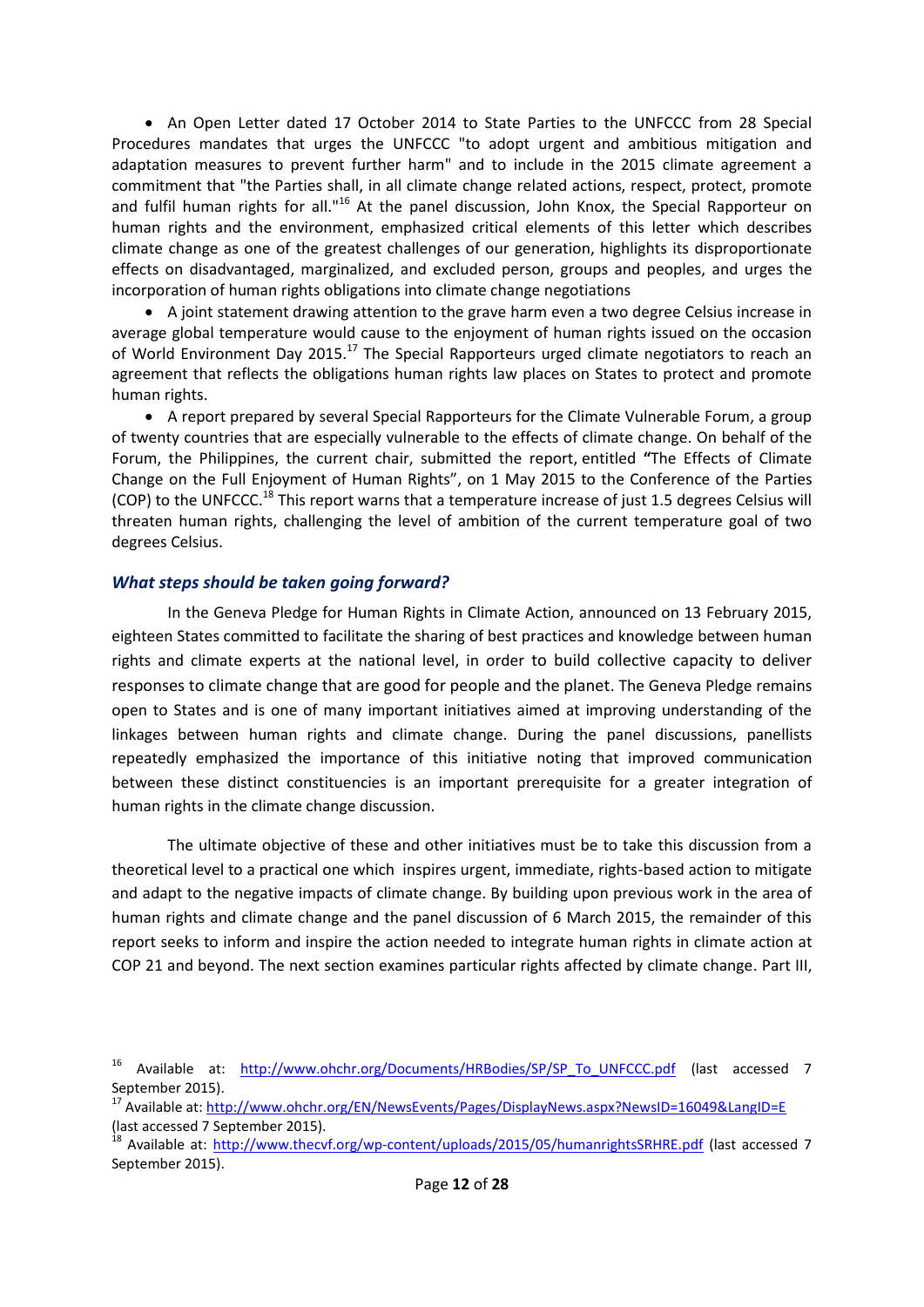• An Open Letter dated 17 October 2014 to State Parties to the UNFCCC from 28 Special Procedures mandates that urges the UNFCCC "to adopt urgent and ambitious mitigation and adaptation measures to prevent further harm" and to include in the 2015 climate agreement a commitment that "the Parties shall, in all climate change related actions, respect, protect, promote and fulfil human rights for all."<sup>16</sup> At the panel discussion, John Knox, the Special Rapporteur on human rights and the environment, emphasized critical elements of this letter which describes climate change as one of the greatest challenges of our generation, highlights its disproportionate effects on disadvantaged, marginalized, and excluded person, groups and peoples, and urges the incorporation of human rights obligations into climate change negotiations

 A joint statement drawing attention to the grave harm even a two degree Celsius increase in average global temperature would cause to the enjoyment of human rights issued on the occasion of World Environment Day 2015.<sup>17</sup> The Special Rapporteurs urged climate negotiators to reach an agreement that reflects the obligations human rights law places on States to protect and promote human rights.

 A report prepared by several Special Rapporteurs for the Climate Vulnerable Forum, a group of twenty countries that are especially vulnerable to the effects of climate change. On behalf of the Forum, the Philippines, the current chair, submitted the report, entitled **"**The Effects of Climate Change on the Full Enjoyment of Human Rights", on 1 May 2015 to the Conference of the Parties (COP) to the UNFCCC.<sup>18</sup> This report warns that a temperature increase of just 1.5 degrees Celsius will threaten human rights, challenging the level of ambition of the current temperature goal of two degrees Celsius.

#### <span id="page-11-0"></span>*What steps should be taken going forward?*

In the Geneva Pledge for Human Rights in Climate Action, announced on 13 February 2015, eighteen States committed to facilitate the sharing of best practices and knowledge between human rights and climate experts at the national level, in order to build collective capacity to deliver responses to climate change that are good for people and the planet. The Geneva Pledge remains open to States and is one of many important initiatives aimed at improving understanding of the linkages between human rights and climate change. During the panel discussions, panellists repeatedly emphasized the importance of this initiative noting that improved communication between these distinct constituencies is an important prerequisite for a greater integration of human rights in the climate change discussion.

The ultimate objective of these and other initiatives must be to take this discussion from a theoretical level to a practical one which inspires urgent, immediate, rights-based action to mitigate and adapt to the negative impacts of climate change. By building upon previous work in the area of human rights and climate change and the panel discussion of 6 March 2015, the remainder of this report seeks to inform and inspire the action needed to integrate human rights in climate action at COP 21 and beyond. The next section examines particular rights affected by climate change. Part III,

<sup>&</sup>lt;sup>16</sup> Available at: [http://www.ohchr.org/Documents/HRBodies/SP/SP\\_To\\_UNFCCC.pdf](http://www.ohchr.org/Documents/HRBodies/SP/SP_To_UNFCCC.pdf) (last accessed 7 September 2015).

<sup>17</sup> Available at:<http://www.ohchr.org/EN/NewsEvents/Pages/DisplayNews.aspx?NewsID=16049&LangID=E> (last accessed 7 September 2015).

<sup>&</sup>lt;sup>18</sup> Available at:<http://www.thecvf.org/wp-content/uploads/2015/05/humanrightsSRHRE.pdf> (last accessed 7 September 2015).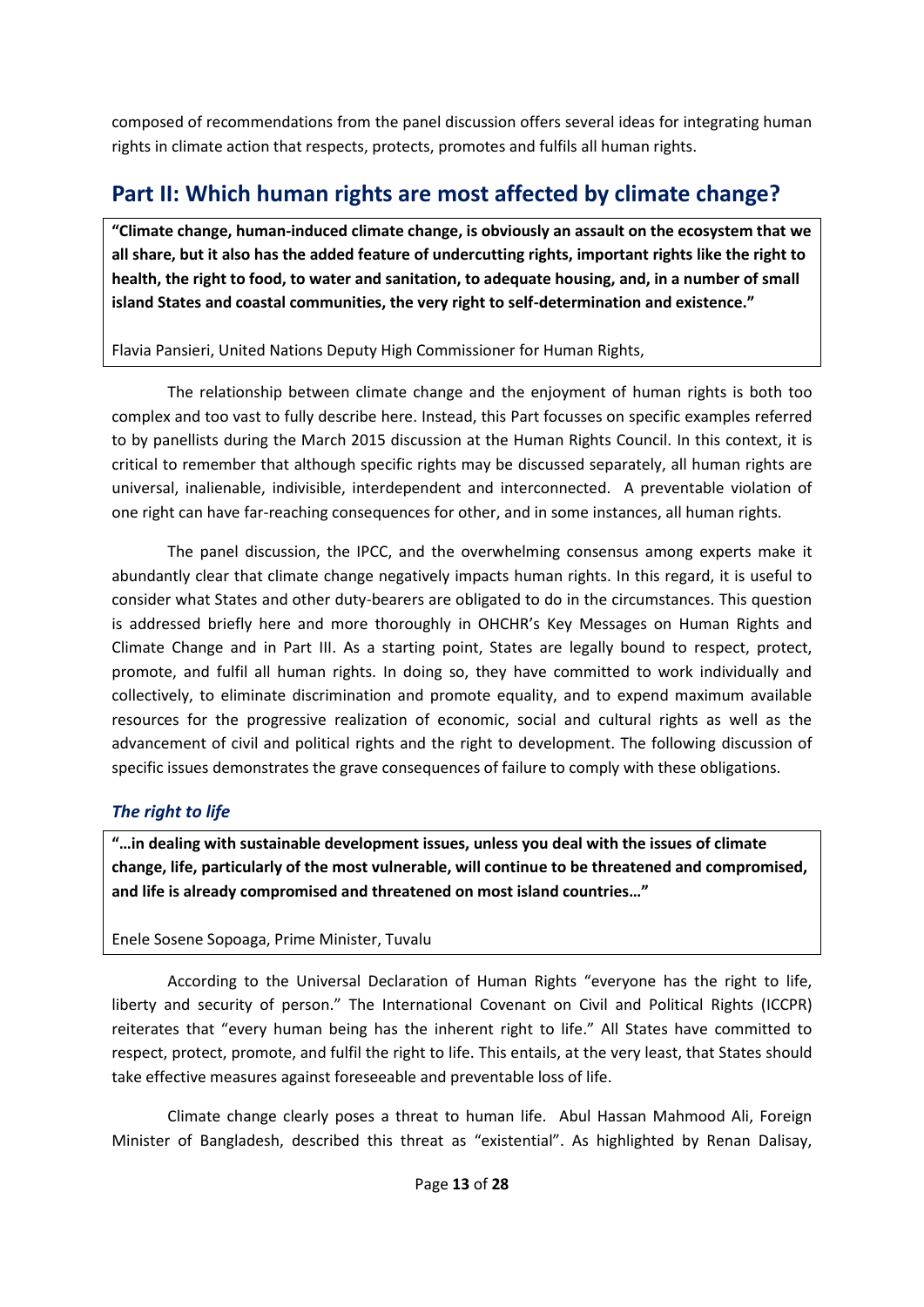composed of recommendations from the panel discussion offers several ideas for integrating human rights in climate action that respects, protects, promotes and fulfils all human rights.

# <span id="page-12-0"></span>**Part II: Which human rights are most affected by climate change?**

**"Climate change, human-induced climate change, is obviously an assault on the ecosystem that we all share, but it also has the added feature of undercutting rights, important rights like the right to health, the right to food, to water and sanitation, to adequate housing, and, in a number of small island States and coastal communities, the very right to self-determination and existence."** 

### Flavia Pansieri, United Nations Deputy High Commissioner for Human Rights,

The relationship between climate change and the enjoyment of human rights is both too complex and too vast to fully describe here. Instead, this Part focusses on specific examples referred to by panellists during the March 2015 discussion at the Human Rights Council. In this context, it is critical to remember that although specific rights may be discussed separately, all human rights are universal, inalienable, indivisible, interdependent and interconnected. A preventable violation of one right can have far-reaching consequences for other, and in some instances, all human rights.

The panel discussion, the IPCC, and the overwhelming consensus among experts make it abundantly clear that climate change negatively impacts human rights. In this regard, it is useful to consider what States and other duty-bearers are obligated to do in the circumstances. This question is addressed briefly here and more thoroughly in OHCHR's Key Messages on Human Rights and Climate Change and in Part III. As a starting point, States are legally bound to respect, protect, promote, and fulfil all human rights. In doing so, they have committed to work individually and collectively, to eliminate discrimination and promote equality, and to expend maximum available resources for the progressive realization of economic, social and cultural rights as well as the advancement of civil and political rights and the right to development. The following discussion of specific issues demonstrates the grave consequences of failure to comply with these obligations.

# <span id="page-12-1"></span>*The right to life*

**"…in dealing with sustainable development issues, unless you deal with the issues of climate change, life, particularly of the most vulnerable, will continue to be threatened and compromised, and life is already compromised and threatened on most island countries…"**

# Enele Sosene Sopoaga, Prime Minister, Tuvalu

According to the Universal Declaration of Human Rights "everyone has the right to life, liberty and security of person." The International Covenant on Civil and Political Rights (ICCPR) reiterates that "every human being has the inherent right to life." All States have committed to respect, protect, promote, and fulfil the right to life. This entails, at the very least, that States should take effective measures against foreseeable and preventable loss of life.

Climate change clearly poses a threat to human life. Abul Hassan Mahmood Ali, Foreign Minister of Bangladesh, described this threat as "existential". As highlighted by Renan Dalisay,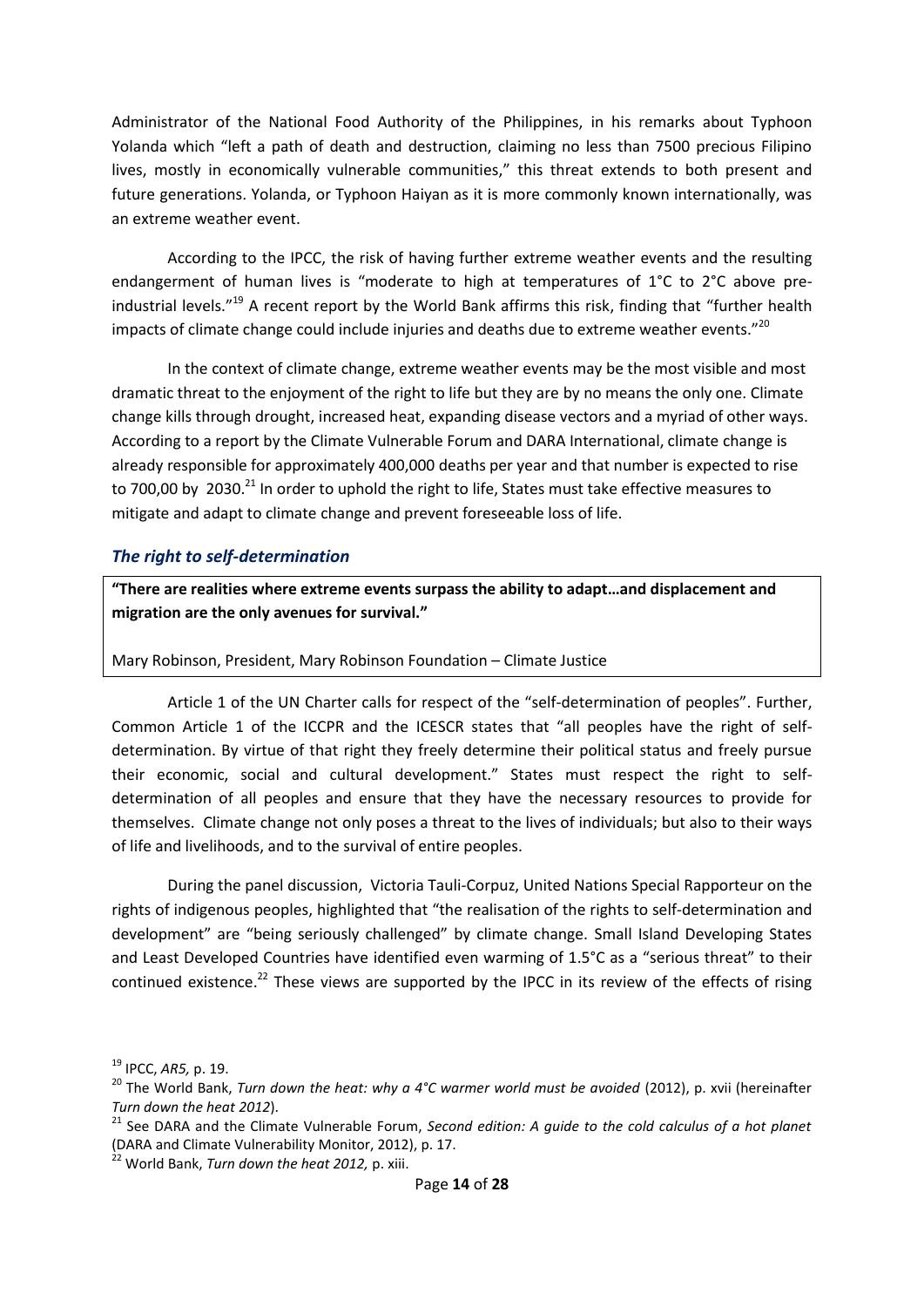Administrator of the National Food Authority of the Philippines, in his remarks about Typhoon Yolanda which "left a path of death and destruction, claiming no less than 7500 precious Filipino lives, mostly in economically vulnerable communities," this threat extends to both present and future generations. Yolanda, or Typhoon Haiyan as it is more commonly known internationally, was an extreme weather event.

According to the IPCC, the risk of having further extreme weather events and the resulting endangerment of human lives is "moderate to high at temperatures of 1°C to 2°C above preindustrial levels."<sup>19</sup> A recent report by the World Bank affirms this risk, finding that "further health impacts of climate change could include injuries and deaths due to extreme weather events."<sup>20</sup>

In the context of climate change, extreme weather events may be the most visible and most dramatic threat to the enjoyment of the right to life but they are by no means the only one. Climate change kills through drought, increased heat, expanding disease vectors and a myriad of other ways. According to a report by the Climate Vulnerable Forum and DARA International, climate change is already responsible for approximately 400,000 deaths per year and that number is expected to rise to 700,00 by 2030.<sup>21</sup> In order to uphold the right to life, States must take effective measures to mitigate and adapt to climate change and prevent foreseeable loss of life.

### <span id="page-13-0"></span>*The right to self-determination*

**"There are realities where extreme events surpass the ability to adapt…and displacement and migration are the only avenues for survival."**

Mary Robinson, President, Mary Robinson Foundation – Climate Justice

Article 1 of the UN Charter calls for respect of the "self-determination of peoples". Further, Common Article 1 of the ICCPR and the ICESCR states that "all peoples have the right of selfdetermination. By virtue of that right they freely determine their political status and freely pursue their economic, social and cultural development." States must respect the right to selfdetermination of all peoples and ensure that they have the necessary resources to provide for themselves. Climate change not only poses a threat to the lives of individuals; but also to their ways of life and livelihoods, and to the survival of entire peoples.

During the panel discussion, Victoria Tauli-Corpuz, United Nations Special Rapporteur on the rights of indigenous peoples, highlighted that "the realisation of the rights to self-determination and development" are "being seriously challenged" by climate change. Small Island Developing States and Least Developed Countries have identified even warming of 1.5°C as a "serious threat" to their continued existence.<sup>22</sup> These views are supported by the IPCC in its review of the effects of rising

<sup>19</sup> IPCC, *AR5,* p. 19.

<sup>&</sup>lt;sup>20</sup> The World Bank, *Turn down the heat: why a 4°C warmer world must be avoided* (2012), p. xvii (hereinafter *Turn down the heat 2012*).

<sup>21</sup> See DARA and the Climate Vulnerable Forum, *Second edition: A guide to the cold calculus of a hot planet*  (DARA and Climate Vulnerability Monitor, 2012), p. 17.

<sup>22</sup> World Bank, *Turn down the heat 2012,* p. xiii.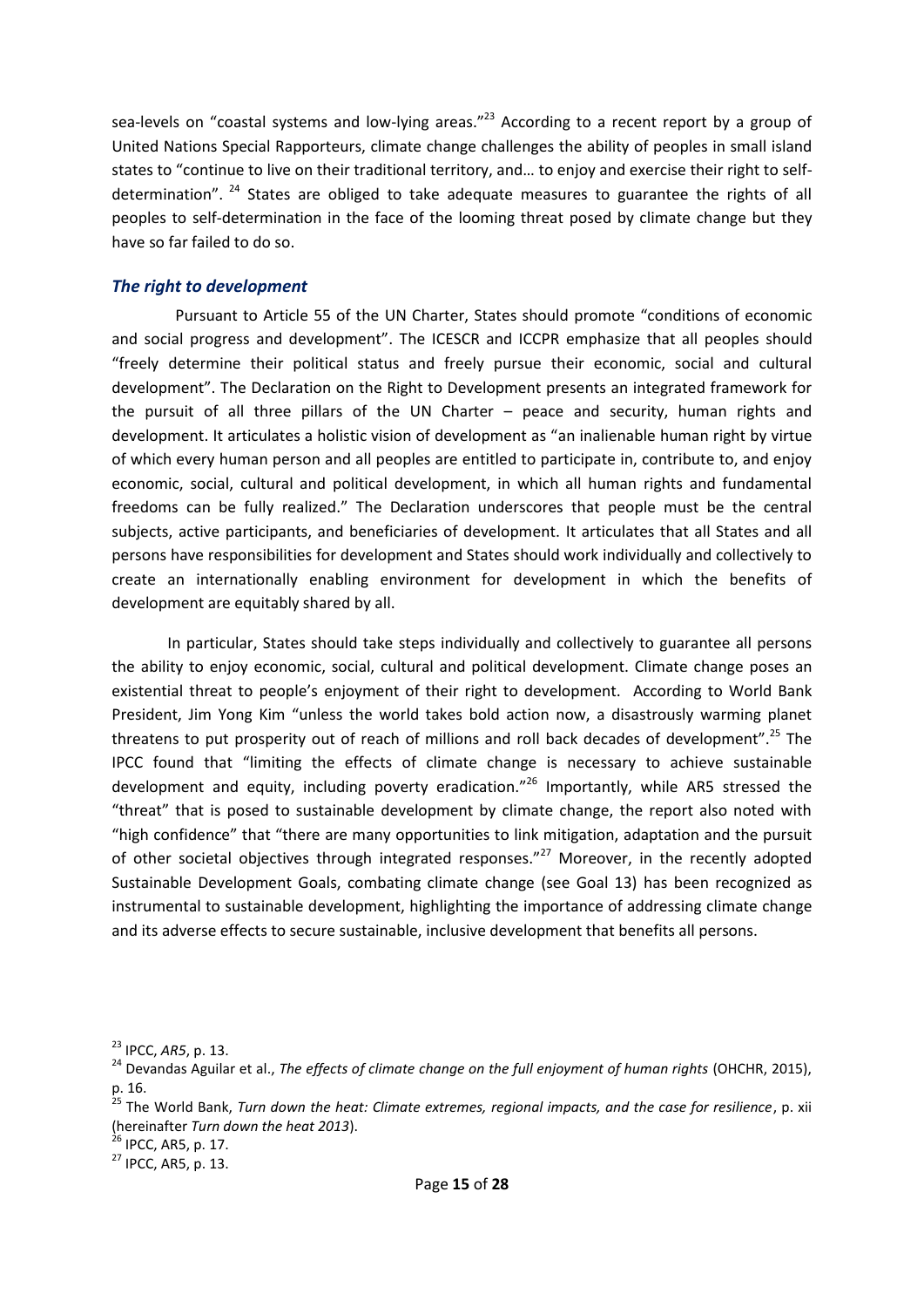sea-levels on "coastal systems and low-lying areas."<sup>23</sup> According to a recent report by a group of United Nations Special Rapporteurs, climate change challenges the ability of peoples in small island states to "continue to live on their traditional territory, and… to enjoy and exercise their right to selfdetermination".  $24$  States are obliged to take adequate measures to guarantee the rights of all peoples to self-determination in the face of the looming threat posed by climate change but they have so far failed to do so.

#### <span id="page-14-0"></span>*The right to development*

Pursuant to Article 55 of the UN Charter, States should promote "conditions of economic and social progress and development". The ICESCR and ICCPR emphasize that all peoples should "freely determine their political status and freely pursue their economic, social and cultural development". The Declaration on the Right to Development presents an integrated framework for the pursuit of all three pillars of the UN Charter – peace and security, human rights and development. It articulates a holistic vision of development as "an inalienable human right by virtue of which every human person and all peoples are entitled to participate in, contribute to, and enjoy economic, social, cultural and political development, in which all human rights and fundamental freedoms can be fully realized." The Declaration underscores that people must be the central subjects, active participants, and beneficiaries of development. It articulates that all States and all persons have responsibilities for development and States should work individually and collectively to create an internationally enabling environment for development in which the benefits of development are equitably shared by all.

In particular, States should take steps individually and collectively to guarantee all persons the ability to enjoy economic, social, cultural and political development. Climate change poses an existential threat to people's enjoyment of their right to development. According to World Bank President, Jim Yong Kim "unless the world takes bold action now, a disastrously warming planet threatens to put prosperity out of reach of millions and roll back decades of development".<sup>25</sup> The IPCC found that "limiting the effects of climate change is necessary to achieve sustainable development and equity, including poverty eradication."<sup>26</sup> Importantly, while AR5 stressed the "threat" that is posed to sustainable development by climate change, the report also noted with "high confidence" that "there are many opportunities to link mitigation, adaptation and the pursuit of other societal objectives through integrated responses."<sup>27</sup> Moreover, in the recently adopted Sustainable Development Goals, combating climate change (see Goal 13) has been recognized as instrumental to sustainable development, highlighting the importance of addressing climate change and its adverse effects to secure sustainable, inclusive development that benefits all persons.

<sup>23</sup> IPCC, *AR5*, p. 13.

<sup>&</sup>lt;sup>24</sup> Devandas Aguilar et al., *The effects of climate change on the full enjoyment of human rights* (OHCHR, 2015), p. 16.

<sup>25</sup> The World Bank, *Turn down the heat: Climate extremes, regional impacts, and the case for resilience*, p. xii (hereinafter *Turn down the heat 2013*). (hereinafter Turn down the heat 2013).<br> $^{26}$  IPCC, AR5, p. 17.

<sup>27</sup> IPCC, AR5, p. 13.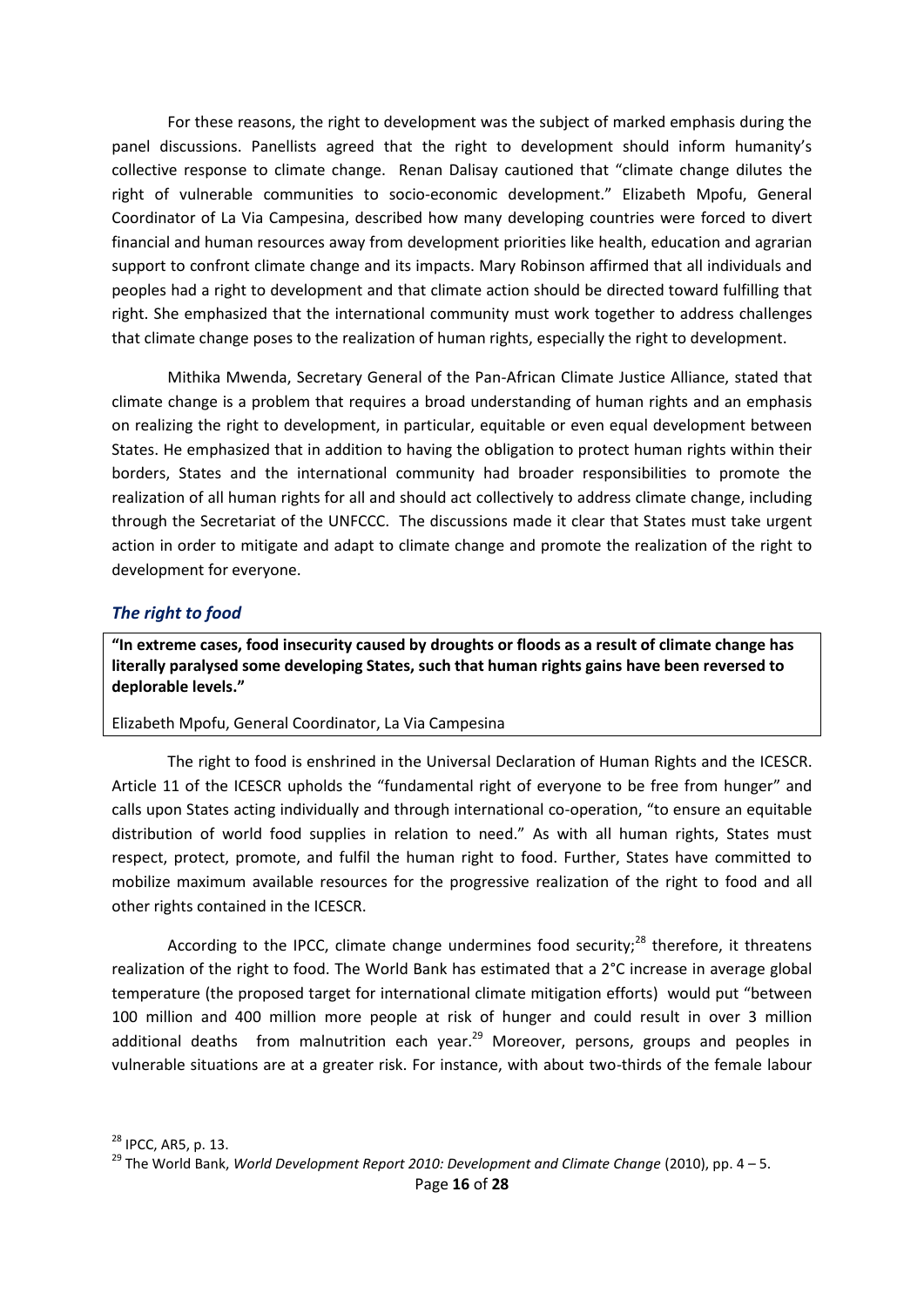For these reasons, the right to development was the subject of marked emphasis during the panel discussions. Panellists agreed that the right to development should inform humanity's collective response to climate change. Renan Dalisay cautioned that "climate change dilutes the right of vulnerable communities to socio-economic development." Elizabeth Mpofu, General Coordinator of La Via Campesina, described how many developing countries were forced to divert financial and human resources away from development priorities like health, education and agrarian support to confront climate change and its impacts. Mary Robinson affirmed that all individuals and peoples had a right to development and that climate action should be directed toward fulfilling that right. She emphasized that the international community must work together to address challenges that climate change poses to the realization of human rights, especially the right to development.

Mithika Mwenda, Secretary General of the Pan-African Climate Justice Alliance, stated that climate change is a problem that requires a broad understanding of human rights and an emphasis on realizing the right to development, in particular, equitable or even equal development between States. He emphasized that in addition to having the obligation to protect human rights within their borders, States and the international community had broader responsibilities to promote the realization of all human rights for all and should act collectively to address climate change, including through the Secretariat of the UNFCCC. The discussions made it clear that States must take urgent action in order to mitigate and adapt to climate change and promote the realization of the right to development for everyone.

#### <span id="page-15-0"></span>*The right to food*

**"In extreme cases, food insecurity caused by droughts or floods as a result of climate change has literally paralysed some developing States, such that human rights gains have been reversed to deplorable levels."**

#### Elizabeth Mpofu, General Coordinator, La Via Campesina

The right to food is enshrined in the Universal Declaration of Human Rights and the ICESCR. Article 11 of the ICESCR upholds the "fundamental right of everyone to be free from hunger" and calls upon States acting individually and through international co-operation, "to ensure an equitable distribution of world food supplies in relation to need." As with all human rights, States must respect, protect, promote, and fulfil the human right to food. Further, States have committed to mobilize maximum available resources for the progressive realization of the right to food and all other rights contained in the ICESCR.

According to the IPCC, climate change undermines food security;<sup>28</sup> therefore, it threatens realization of the right to food. The World Bank has estimated that a 2°C increase in average global temperature (the proposed target for international climate mitigation efforts) would put "between 100 million and 400 million more people at risk of hunger and could result in over 3 million additional deaths from malnutrition each year.<sup>29</sup> Moreover, persons, groups and peoples in vulnerable situations are at a greater risk. For instance, with about two-thirds of the female labour

<sup>29</sup> The World Bank, *World Development Report 2010: Development and Climate Change* (2010), pp. 4 – 5.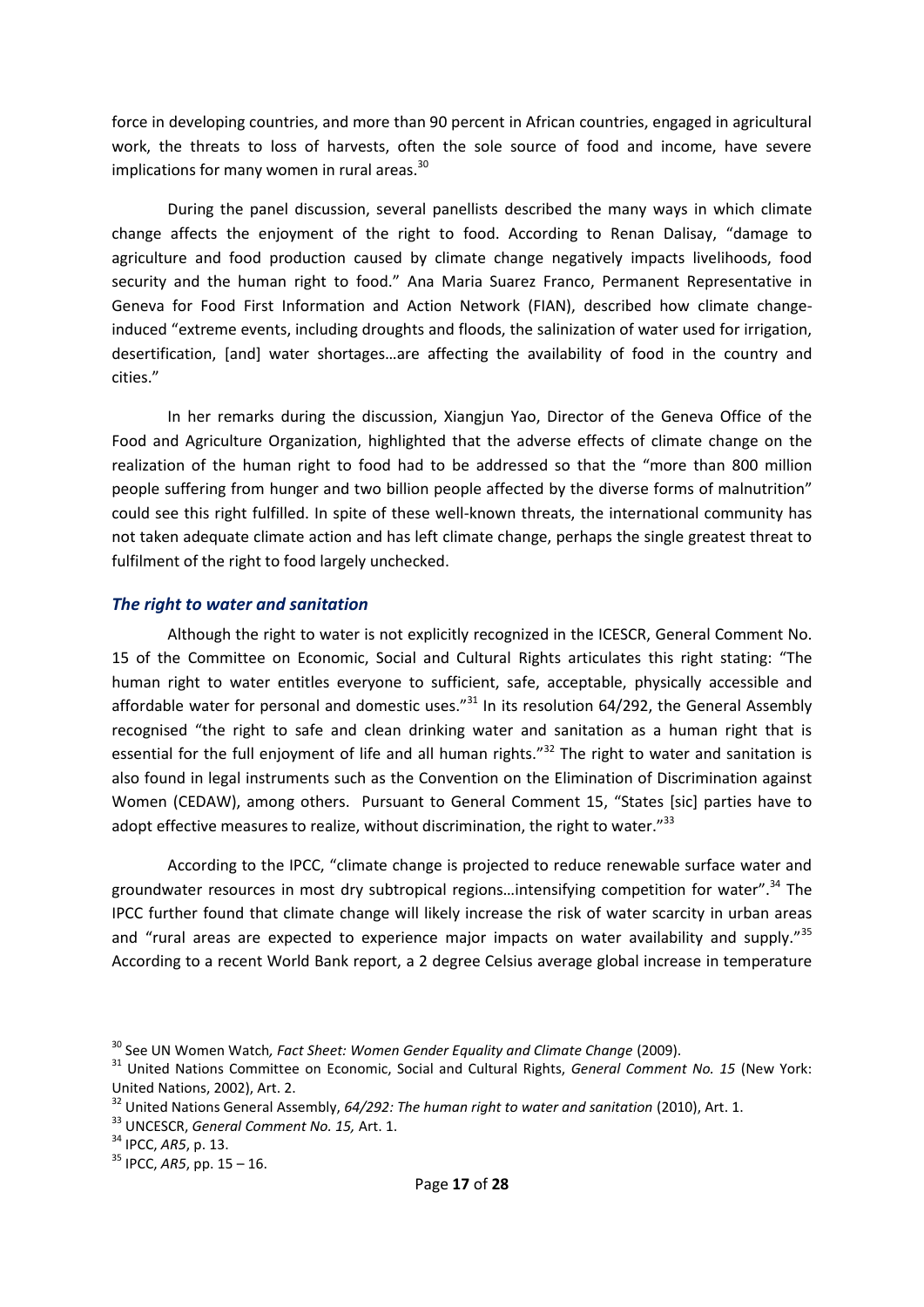force in developing countries, and more than 90 percent in African countries, engaged in agricultural work, the threats to loss of harvests, often the sole source of food and income, have severe implications for many women in rural areas.<sup>30</sup>

During the panel discussion, several panellists described the many ways in which climate change affects the enjoyment of the right to food. According to Renan Dalisay, "damage to agriculture and food production caused by climate change negatively impacts livelihoods, food security and the human right to food." Ana Maria Suarez Franco, Permanent Representative in Geneva for Food First Information and Action Network (FIAN), described how climate changeinduced "extreme events, including droughts and floods, the salinization of water used for irrigation, desertification, [and] water shortages…are affecting the availability of food in the country and cities."

In her remarks during the discussion, Xiangjun Yao, Director of the Geneva Office of the Food and Agriculture Organization, highlighted that the adverse effects of climate change on the realization of the human right to food had to be addressed so that the "more than 800 million people suffering from hunger and two billion people affected by the diverse forms of malnutrition" could see this right fulfilled. In spite of these well-known threats, the international community has not taken adequate climate action and has left climate change, perhaps the single greatest threat to fulfilment of the right to food largely unchecked.

#### <span id="page-16-0"></span>*The right to water and sanitation*

Although the right to water is not explicitly recognized in the ICESCR, General Comment No. 15 of the Committee on Economic, Social and Cultural Rights articulates this right stating: "The human right to water entitles everyone to sufficient, safe, acceptable, physically accessible and affordable water for personal and domestic uses. $^{n31}$  In its resolution 64/292, the General Assembly recognised "the right to safe and clean drinking water and sanitation as a human right that is essential for the full enjoyment of life and all human rights." $32$  The right to water and sanitation is also found in legal instruments such as the Convention on the Elimination of Discrimination against Women (CEDAW), among others. Pursuant to General Comment 15, "States [sic] parties have to adopt effective measures to realize, without discrimination, the right to water." $33$ 

According to the IPCC, "climate change is projected to reduce renewable surface water and groundwater resources in most dry subtropical regions…intensifying competition for water". <sup>34</sup> The IPCC further found that climate change will likely increase the risk of water scarcity in urban areas and "rural areas are expected to experience major impacts on water availability and supply."<sup>35</sup> According to a recent World Bank report, a 2 degree Celsius average global increase in temperature

<sup>30</sup> See UN Women Watch*, Fact Sheet: Women Gender Equality and Climate Change* (2009).

<sup>31</sup> United Nations Committee on Economic, Social and Cultural Rights, *General Comment No. 15* (New York: United Nations, 2002), Art. 2.

<sup>32</sup> United Nations General Assembly, *64/292: The human right to water and sanitation* (2010), Art. 1.

<sup>33</sup> UNCESCR, *General Comment No. 15,* Art. 1.

<sup>34</sup> IPCC, *AR5*, p. 13.

 $35$  IPCC, AR5, pp. 15 – 16.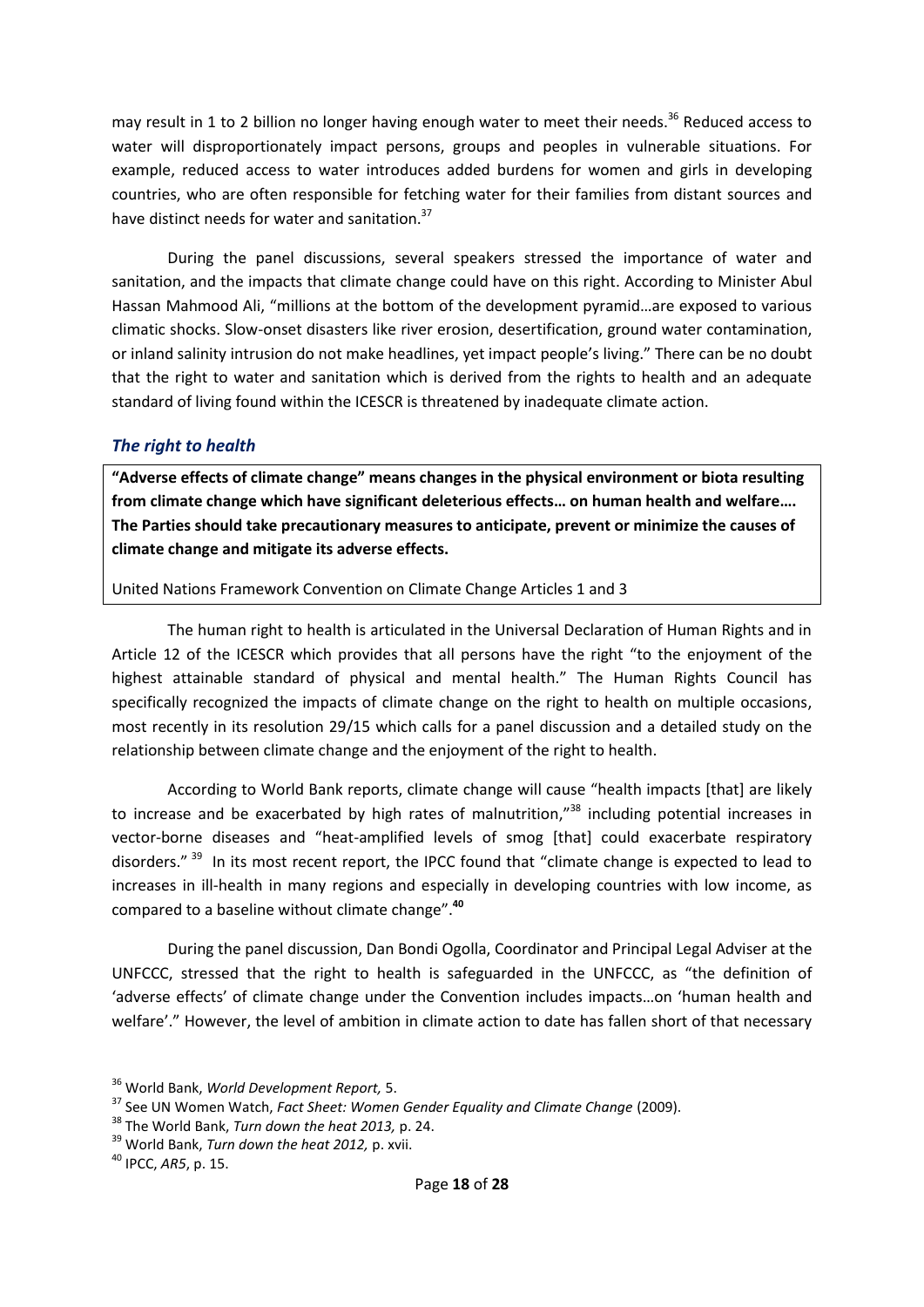may result in 1 to 2 billion no longer having enough water to meet their needs.<sup>36</sup> Reduced access to water will disproportionately impact persons, groups and peoples in vulnerable situations. For example, reduced access to water introduces added burdens for women and girls in developing countries, who are often responsible for fetching water for their families from distant sources and have distinct needs for water and sanitation.<sup>37</sup>

During the panel discussions, several speakers stressed the importance of water and sanitation, and the impacts that climate change could have on this right. According to Minister Abul Hassan Mahmood Ali, "millions at the bottom of the development pyramid…are exposed to various climatic shocks. Slow-onset disasters like river erosion, desertification, ground water contamination, or inland salinity intrusion do not make headlines, yet impact people's living." There can be no doubt that the right to water and sanitation which is derived from the rights to health and an adequate standard of living found within the ICESCR is threatened by inadequate climate action.

#### <span id="page-17-0"></span>*The right to health*

**"Adverse effects of climate change" means changes in the physical environment or biota resulting from climate change which have significant deleterious effects… on human health and welfare…. The Parties should take precautionary measures to anticipate, prevent or minimize the causes of climate change and mitigate its adverse effects.**

#### United Nations Framework Convention on Climate Change Articles 1 and 3

The human right to health is articulated in the Universal Declaration of Human Rights and in Article 12 of the ICESCR which provides that all persons have the right "to the enjoyment of the highest attainable standard of physical and mental health." The Human Rights Council has specifically recognized the impacts of climate change on the right to health on multiple occasions, most recently in its resolution 29/15 which calls for a panel discussion and a detailed study on the relationship between climate change and the enjoyment of the right to health.

According to World Bank reports, climate change will cause "health impacts [that] are likely to increase and be exacerbated by high rates of malnutrition,"<sup>38</sup> including potential increases in vector-borne diseases and "heat-amplified levels of smog [that] could exacerbate respiratory disorders." <sup>39</sup> In its most recent report, the IPCC found that "climate change is expected to lead to increases in ill-health in many regions and especially in developing countries with low income, as compared to a baseline without climate change". **40**

During the panel discussion, Dan Bondi Ogolla, Coordinator and Principal Legal Adviser at the UNFCCC, stressed that the right to health is safeguarded in the UNFCCC, as "the definition of 'adverse effects' of climate change under the Convention includes impacts…on 'human health and welfare'." However, the level of ambition in climate action to date has fallen short of that necessary

<sup>36</sup> World Bank, *World Development Report,* 5.

<sup>37</sup> See UN Women Watch, *Fact Sheet: Women Gender Equality and Climate Change* (2009).

<sup>38</sup> The World Bank, *Turn down the heat 2013,* p. 24.

<sup>39</sup> World Bank, *Turn down the heat 2012,* p. xvii.

<sup>40</sup> IPCC, *AR5*, p. 15.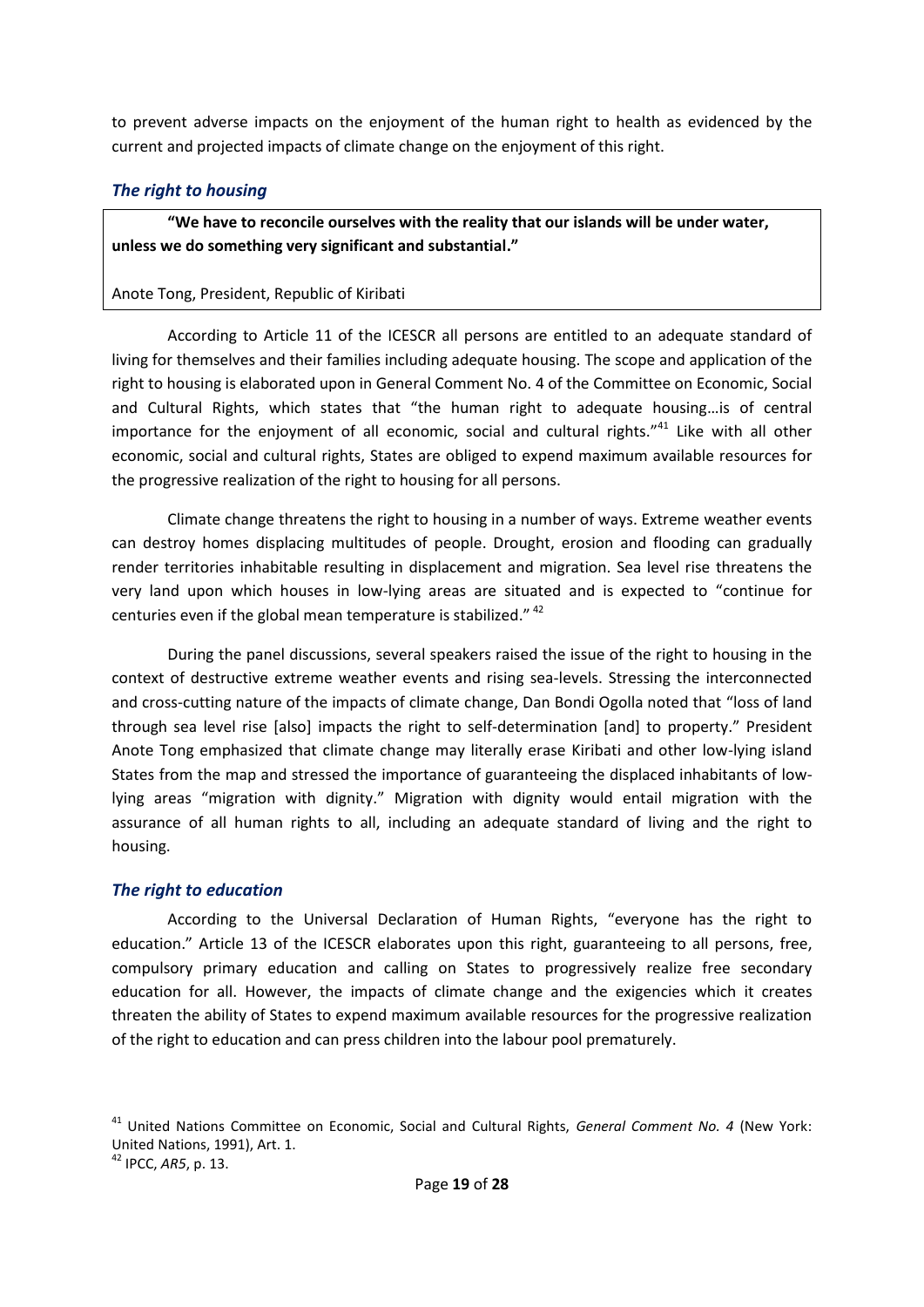to prevent adverse impacts on the enjoyment of the human right to health as evidenced by the current and projected impacts of climate change on the enjoyment of this right.

### <span id="page-18-0"></span>*The right to housing*

**"We have to reconcile ourselves with the reality that our islands will be under water, unless we do something very significant and substantial."** 

### Anote Tong, President, Republic of Kiribati

According to Article 11 of the ICESCR all persons are entitled to an adequate standard of living for themselves and their families including adequate housing. The scope and application of the right to housing is elaborated upon in General Comment No. 4 of the Committee on Economic, Social and Cultural Rights, which states that "the human right to adequate housing…is of central importance for the enjoyment of all economic, social and cultural rights."<sup>41</sup> Like with all other economic, social and cultural rights, States are obliged to expend maximum available resources for the progressive realization of the right to housing for all persons.

Climate change threatens the right to housing in a number of ways. Extreme weather events can destroy homes displacing multitudes of people. Drought, erosion and flooding can gradually render territories inhabitable resulting in displacement and migration. Sea level rise threatens the very land upon which houses in low-lying areas are situated and is expected to "continue for centuries even if the global mean temperature is stabilized."<sup>42</sup>

During the panel discussions, several speakers raised the issue of the right to housing in the context of destructive extreme weather events and rising sea-levels. Stressing the interconnected and cross-cutting nature of the impacts of climate change, Dan Bondi Ogolla noted that "loss of land through sea level rise [also] impacts the right to self-determination [and] to property." President Anote Tong emphasized that climate change may literally erase Kiribati and other low-lying island States from the map and stressed the importance of guaranteeing the displaced inhabitants of lowlying areas "migration with dignity." Migration with dignity would entail migration with the assurance of all human rights to all, including an adequate standard of living and the right to housing.

#### <span id="page-18-1"></span>*The right to education*

According to the Universal Declaration of Human Rights, "everyone has the right to education." Article 13 of the ICESCR elaborates upon this right, guaranteeing to all persons, free, compulsory primary education and calling on States to progressively realize free secondary education for all. However, the impacts of climate change and the exigencies which it creates threaten the ability of States to expend maximum available resources for the progressive realization of the right to education and can press children into the labour pool prematurely.

<sup>41</sup> United Nations Committee on Economic, Social and Cultural Rights, *General Comment No. 4* (New York: United Nations, 1991), Art. 1.

<sup>42</sup> IPCC, *AR5*, p. 13.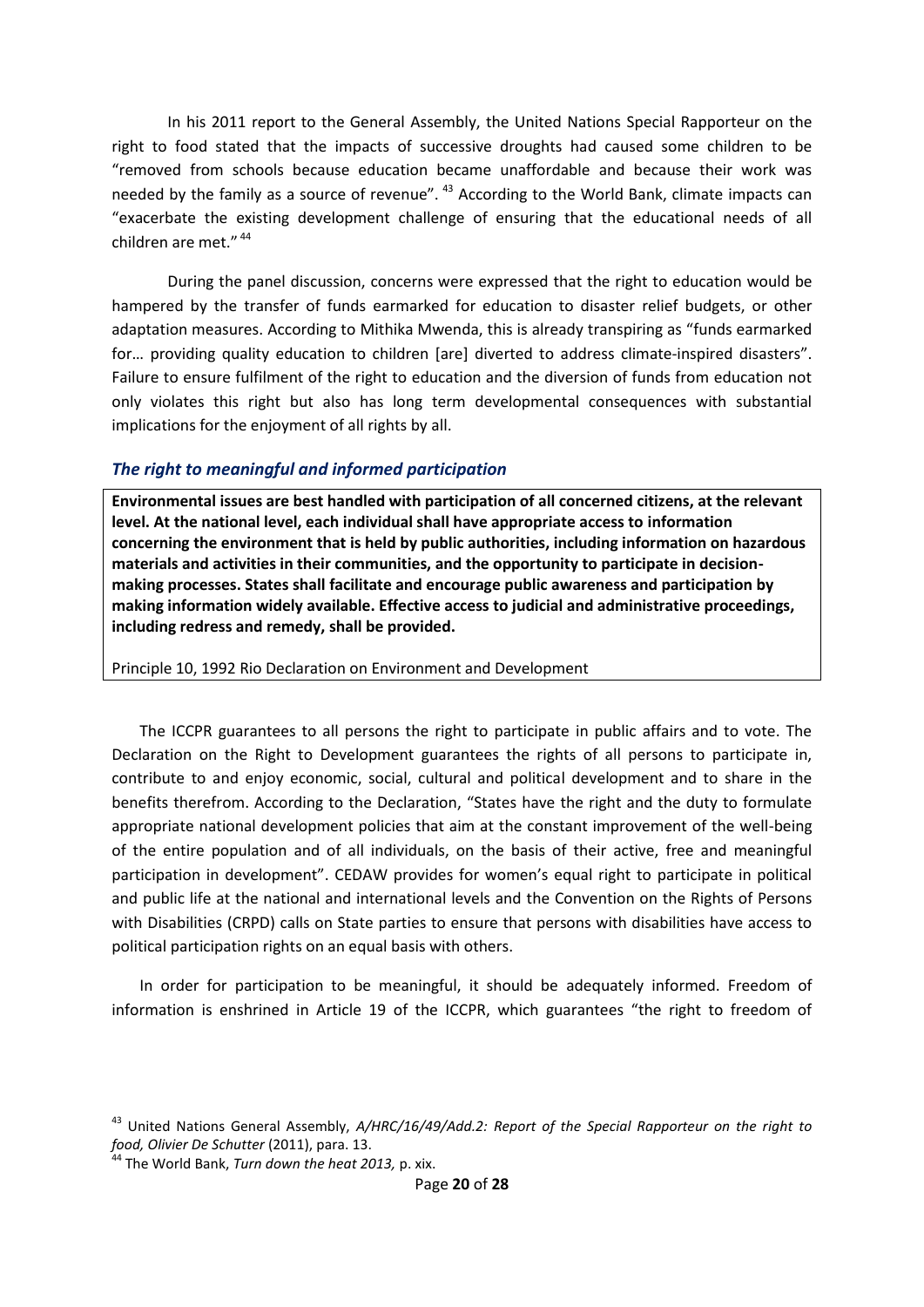In his 2011 report to the General Assembly, the United Nations Special Rapporteur on the right to food stated that the impacts of successive droughts had caused some children to be "removed from schools because education became unaffordable and because their work was needed by the family as a source of revenue". <sup>43</sup> According to the World Bank, climate impacts can "exacerbate the existing development challenge of ensuring that the educational needs of all children are met." <sup>44</sup>

During the panel discussion, concerns were expressed that the right to education would be hampered by the transfer of funds earmarked for education to disaster relief budgets, or other adaptation measures. According to Mithika Mwenda, this is already transpiring as "funds earmarked for… providing quality education to children [are] diverted to address climate-inspired disasters". Failure to ensure fulfilment of the right to education and the diversion of funds from education not only violates this right but also has long term developmental consequences with substantial implications for the enjoyment of all rights by all.

#### <span id="page-19-0"></span>*The right to meaningful and informed participation*

**Environmental issues are best handled with participation of all concerned citizens, at the relevant level. At the national level, each individual shall have appropriate access to information concerning the environment that is held by public authorities, including information on hazardous materials and activities in their communities, and the opportunity to participate in decisionmaking processes. States shall facilitate and encourage public awareness and participation by making information widely available. Effective access to judicial and administrative proceedings, including redress and remedy, shall be provided.**

Principle 10, 1992 Rio Declaration on Environment and Development

The ICCPR guarantees to all persons the right to participate in public affairs and to vote. The Declaration on the Right to Development guarantees the rights of all persons to participate in, contribute to and enjoy economic, social, cultural and political development and to share in the benefits therefrom. According to the Declaration, "States have the right and the duty to formulate appropriate national development policies that aim at the constant improvement of the well-being of the entire population and of all individuals, on the basis of their active, free and meaningful participation in development". CEDAW provides for women's equal right to participate in political and public life at the national and international levels and the Convention on the Rights of Persons with Disabilities (CRPD) calls on State parties to ensure that persons with disabilities have access to political participation rights on an equal basis with others.

In order for participation to be meaningful, it should be adequately informed. Freedom of information is enshrined in Article 19 of the ICCPR, which guarantees "the right to freedom of

<sup>43</sup> United Nations General Assembly, *A/HRC/16/49/Add.2: Report of the Special Rapporteur on the right to food, Olivier De Schutter* (2011), para. 13.

<sup>44</sup> The World Bank, *Turn down the heat 2013,* p. xix.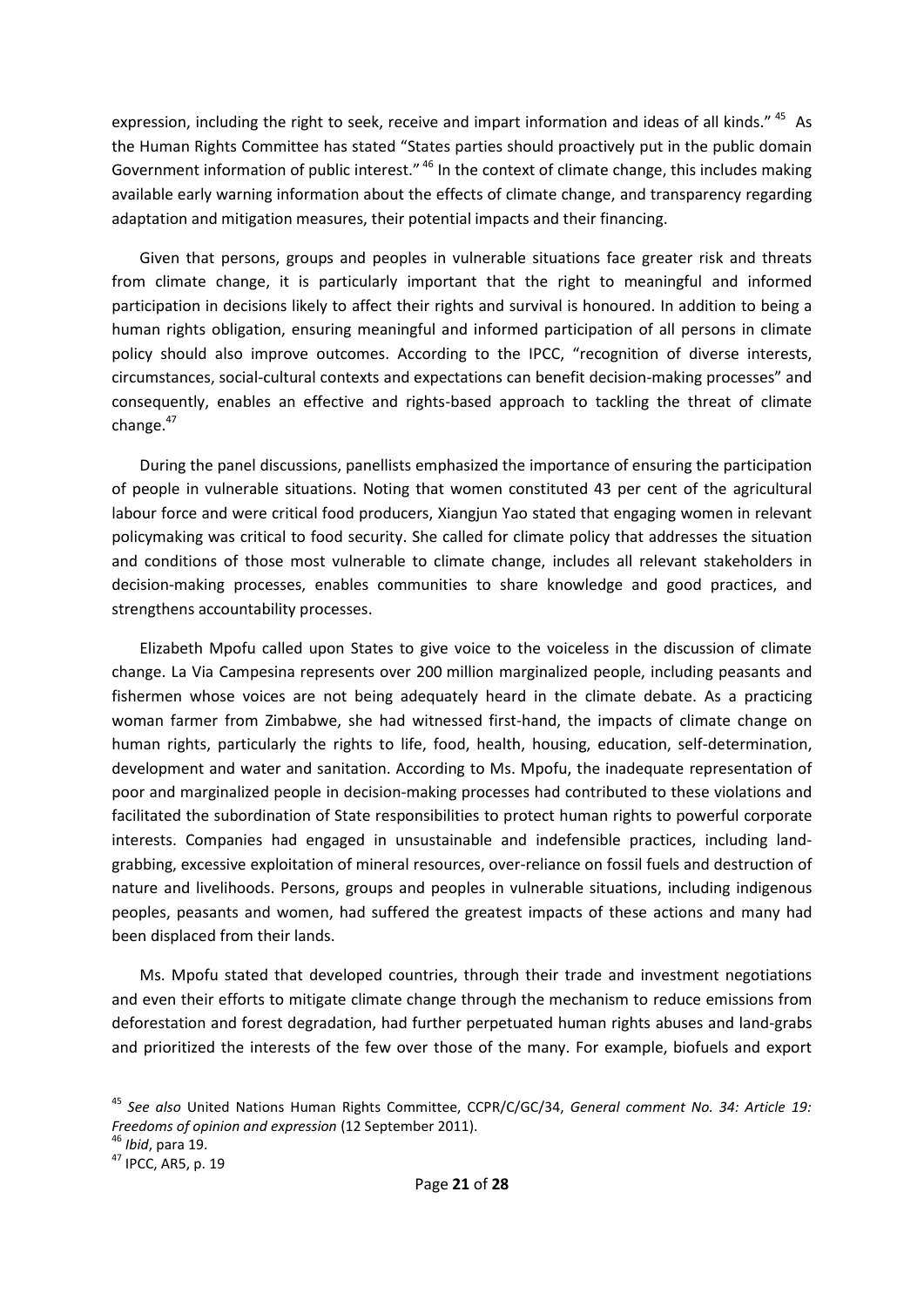expression, including the right to seek, receive and impart information and ideas of all kinds." <sup>45</sup> As the Human Rights Committee has stated "States parties should proactively put in the public domain Government information of public interest." <sup>46</sup> In the context of climate change, this includes making available early warning information about the effects of climate change, and transparency regarding adaptation and mitigation measures, their potential impacts and their financing.

Given that persons, groups and peoples in vulnerable situations face greater risk and threats from climate change, it is particularly important that the right to meaningful and informed participation in decisions likely to affect their rights and survival is honoured. In addition to being a human rights obligation, ensuring meaningful and informed participation of all persons in climate policy should also improve outcomes. According to the IPCC, "recognition of diverse interests, circumstances, social-cultural contexts and expectations can benefit decision-making processes" and consequently, enables an effective and rights-based approach to tackling the threat of climate change.<sup>47</sup>

During the panel discussions, panellists emphasized the importance of ensuring the participation of people in vulnerable situations. Noting that women constituted 43 per cent of the agricultural labour force and were critical food producers, Xiangjun Yao stated that engaging women in relevant policymaking was critical to food security. She called for climate policy that addresses the situation and conditions of those most vulnerable to climate change, includes all relevant stakeholders in decision-making processes, enables communities to share knowledge and good practices, and strengthens accountability processes.

Elizabeth Mpofu called upon States to give voice to the voiceless in the discussion of climate change. La Via Campesina represents over 200 million marginalized people, including peasants and fishermen whose voices are not being adequately heard in the climate debate. As a practicing woman farmer from Zimbabwe, she had witnessed first-hand, the impacts of climate change on human rights, particularly the rights to life, food, health, housing, education, self-determination, development and water and sanitation. According to Ms. Mpofu, the inadequate representation of poor and marginalized people in decision-making processes had contributed to these violations and facilitated the subordination of State responsibilities to protect human rights to powerful corporate interests. Companies had engaged in unsustainable and indefensible practices, including landgrabbing, excessive exploitation of mineral resources, over-reliance on fossil fuels and destruction of nature and livelihoods. Persons, groups and peoples in vulnerable situations, including indigenous peoples, peasants and women, had suffered the greatest impacts of these actions and many had been displaced from their lands.

Ms. Mpofu stated that developed countries, through their trade and investment negotiations and even their efforts to mitigate climate change through the mechanism to reduce emissions from deforestation and forest degradation, had further perpetuated human rights abuses and land-grabs and prioritized the interests of the few over those of the many. For example, biofuels and export

<sup>45</sup> *See also* United Nations Human Rights Committee, CCPR/C/GC/34, *General comment No. 34: Article 19: Freedoms of opinion and expression* (12 September 2011).

<sup>46</sup> *Ibid*, para 19.

<sup>47</sup> IPCC, AR5, p. 19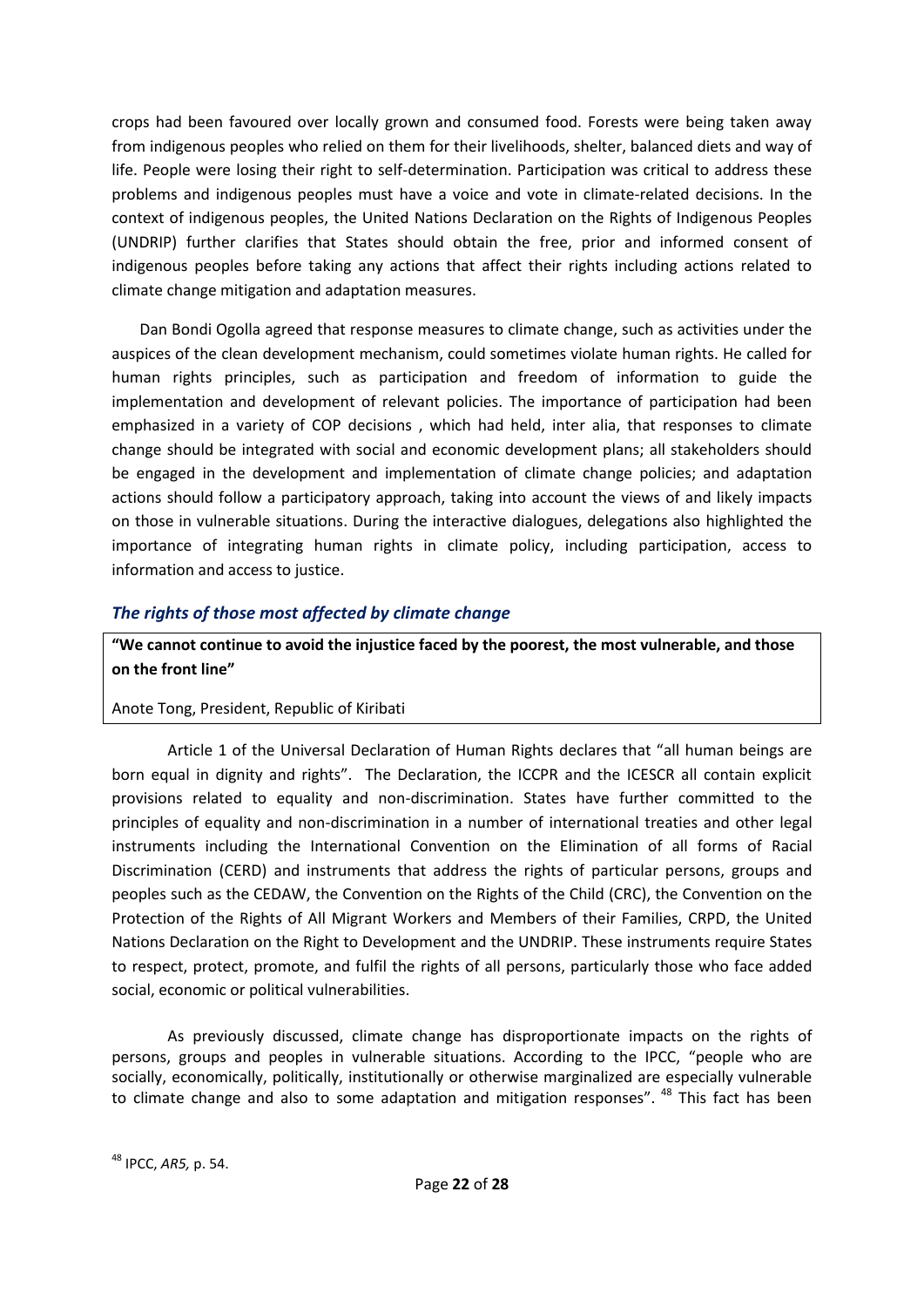crops had been favoured over locally grown and consumed food. Forests were being taken away from indigenous peoples who relied on them for their livelihoods, shelter, balanced diets and way of life. People were losing their right to self-determination. Participation was critical to address these problems and indigenous peoples must have a voice and vote in climate-related decisions. In the context of indigenous peoples, the United Nations Declaration on the Rights of Indigenous Peoples (UNDRIP) further clarifies that States should obtain the free, prior and informed consent of indigenous peoples before taking any actions that affect their rights including actions related to climate change mitigation and adaptation measures.

Dan Bondi Ogolla agreed that response measures to climate change, such as activities under the auspices of the clean development mechanism, could sometimes violate human rights. He called for human rights principles, such as participation and freedom of information to guide the implementation and development of relevant policies. The importance of participation had been emphasized in a variety of COP decisions , which had held, inter alia, that responses to climate change should be integrated with social and economic development plans; all stakeholders should be engaged in the development and implementation of climate change policies; and adaptation actions should follow a participatory approach, taking into account the views of and likely impacts on those in vulnerable situations. During the interactive dialogues, delegations also highlighted the importance of integrating human rights in climate policy, including participation, access to information and access to justice.

# <span id="page-21-0"></span>*The rights of those most affected by climate change*

**"We cannot continue to avoid the injustice faced by the poorest, the most vulnerable, and those on the front line"**

#### Anote Tong, President, Republic of Kiribati

Article 1 of the Universal Declaration of Human Rights declares that "all human beings are born equal in dignity and rights". The Declaration, the ICCPR and the ICESCR all contain explicit provisions related to equality and non-discrimination. States have further committed to the principles of equality and non-discrimination in a number of international treaties and other legal instruments including the International Convention on the Elimination of all forms of Racial Discrimination (CERD) and instruments that address the rights of particular persons, groups and peoples such as the CEDAW, the Convention on the Rights of the Child (CRC), the Convention on the Protection of the Rights of All Migrant Workers and Members of their Families, CRPD, the United Nations Declaration on the Right to Development and the UNDRIP. These instruments require States to respect, protect, promote, and fulfil the rights of all persons, particularly those who face added social, economic or political vulnerabilities.

As previously discussed, climate change has disproportionate impacts on the rights of persons, groups and peoples in vulnerable situations. According to the IPCC, "people who are socially, economically, politically, institutionally or otherwise marginalized are especially vulnerable to climate change and also to some adaptation and mitigation responses". <sup>48</sup> This fact has been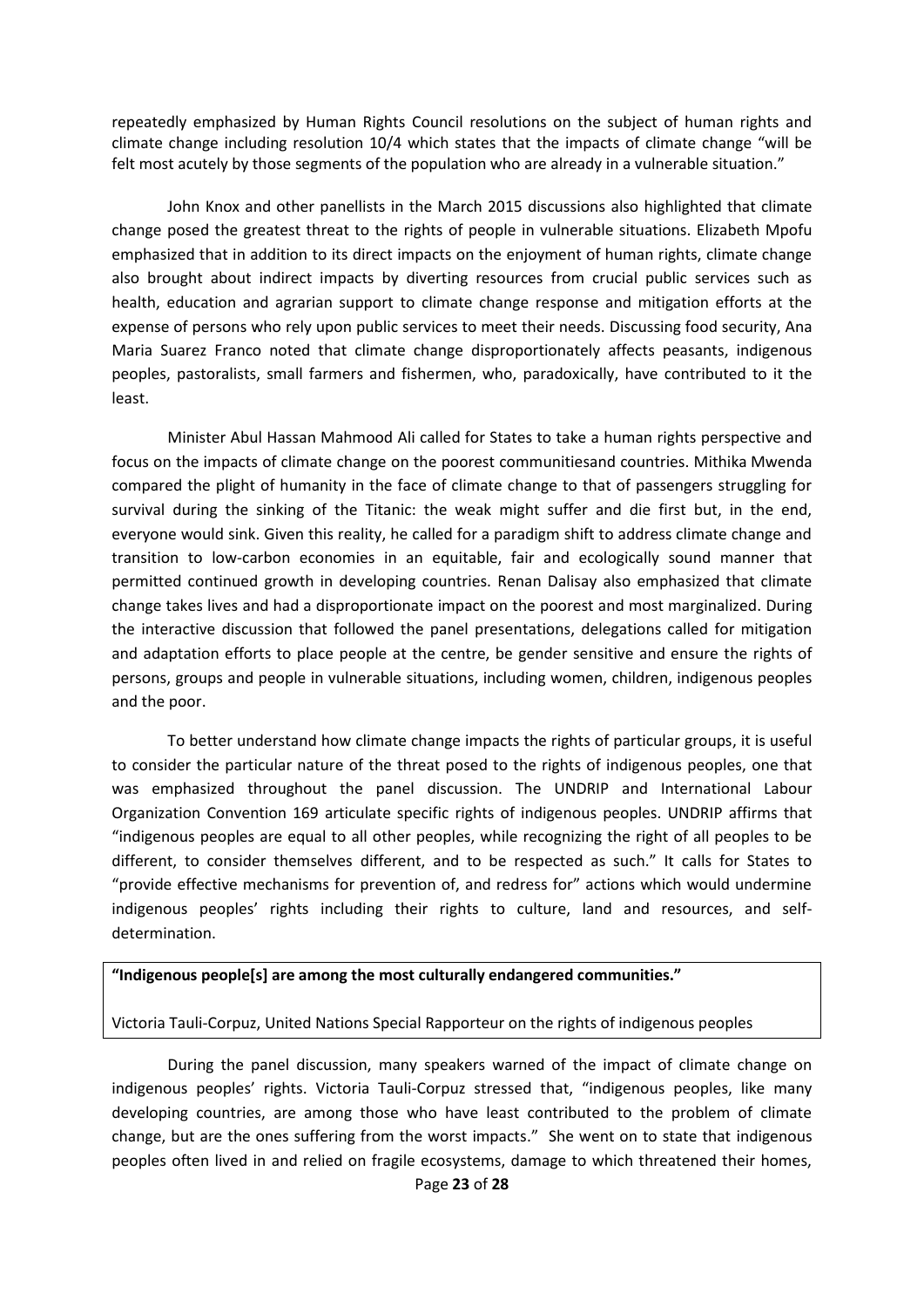repeatedly emphasized by Human Rights Council resolutions on the subject of human rights and climate change including resolution 10/4 which states that the impacts of climate change "will be felt most acutely by those segments of the population who are already in a vulnerable situation."

John Knox and other panellists in the March 2015 discussions also highlighted that climate change posed the greatest threat to the rights of people in vulnerable situations. Elizabeth Mpofu emphasized that in addition to its direct impacts on the enjoyment of human rights, climate change also brought about indirect impacts by diverting resources from crucial public services such as health, education and agrarian support to climate change response and mitigation efforts at the expense of persons who rely upon public services to meet their needs. Discussing food security, Ana Maria Suarez Franco noted that climate change disproportionately affects peasants, indigenous peoples, pastoralists, small farmers and fishermen, who, paradoxically, have contributed to it the least.

Minister Abul Hassan Mahmood Ali called for States to take a human rights perspective and focus on the impacts of climate change on the poorest communitiesand countries. Mithika Mwenda compared the plight of humanity in the face of climate change to that of passengers struggling for survival during the sinking of the Titanic: the weak might suffer and die first but, in the end, everyone would sink. Given this reality, he called for a paradigm shift to address climate change and transition to low-carbon economies in an equitable, fair and ecologically sound manner that permitted continued growth in developing countries. Renan Dalisay also emphasized that climate change takes lives and had a disproportionate impact on the poorest and most marginalized. During the interactive discussion that followed the panel presentations, delegations called for mitigation and adaptation efforts to place people at the centre, be gender sensitive and ensure the rights of persons, groups and people in vulnerable situations, including women, children, indigenous peoples and the poor.

To better understand how climate change impacts the rights of particular groups, it is useful to consider the particular nature of the threat posed to the rights of indigenous peoples, one that was emphasized throughout the panel discussion. The UNDRIP and International Labour Organization Convention 169 articulate specific rights of indigenous peoples. UNDRIP affirms that "indigenous peoples are equal to all other peoples, while recognizing the right of all peoples to be different, to consider themselves different, and to be respected as such." It calls for States to "provide effective mechanisms for prevention of, and redress for" actions which would undermine indigenous peoples' rights including their rights to culture, land and resources, and selfdetermination.

#### **"Indigenous people[s] are among the most culturally endangered communities."**

#### Victoria Tauli-Corpuz, United Nations Special Rapporteur on the rights of indigenous peoples

During the panel discussion, many speakers warned of the impact of climate change on indigenous peoples' rights. Victoria Tauli-Corpuz stressed that, "indigenous peoples, like many developing countries, are among those who have least contributed to the problem of climate change, but are the ones suffering from the worst impacts." She went on to state that indigenous peoples often lived in and relied on fragile ecosystems, damage to which threatened their homes,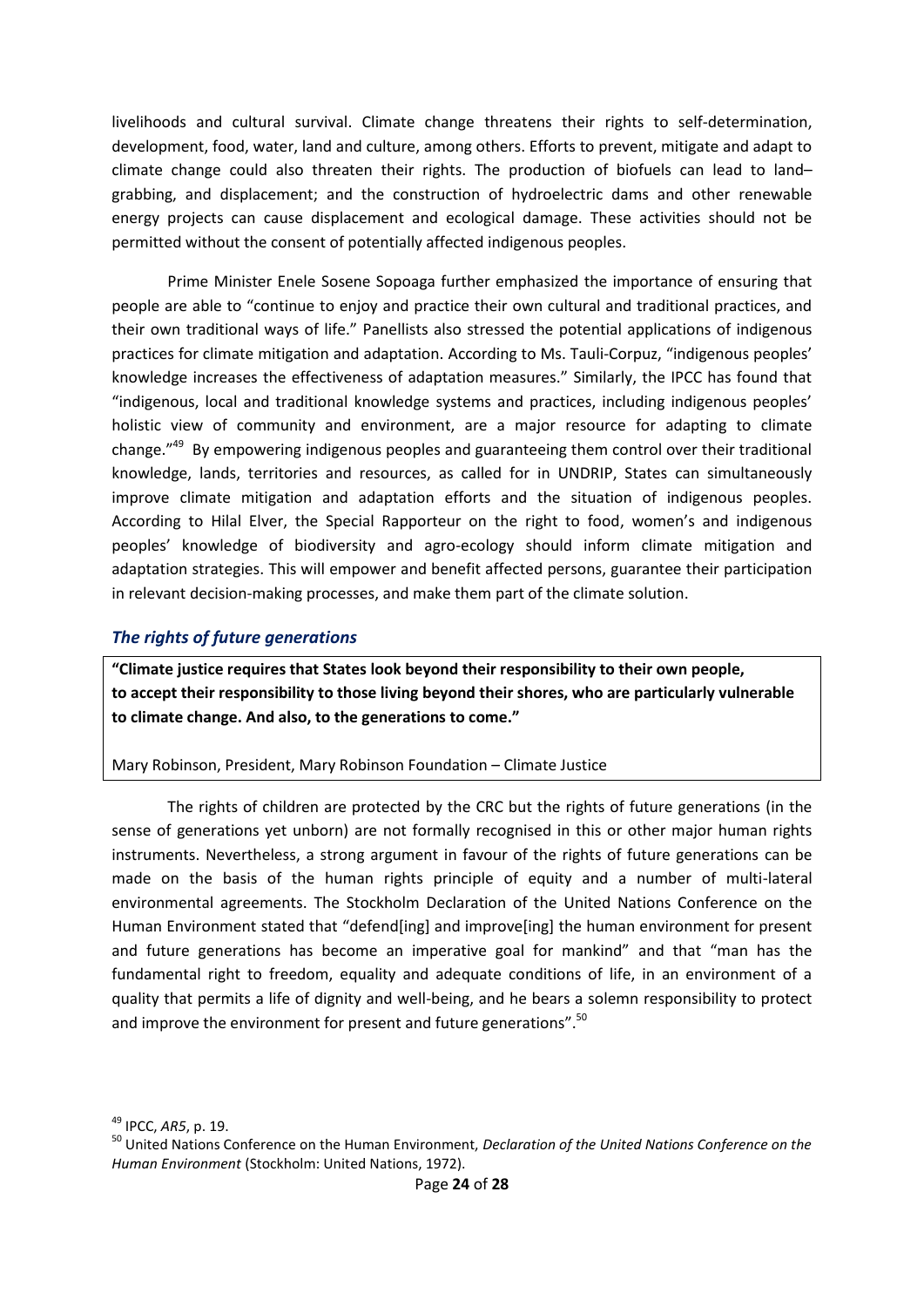livelihoods and cultural survival. Climate change threatens their rights to self-determination, development, food, water, land and culture, among others. Efforts to prevent, mitigate and adapt to climate change could also threaten their rights. The production of biofuels can lead to land– grabbing, and displacement; and the construction of hydroelectric dams and other renewable energy projects can cause displacement and ecological damage. These activities should not be permitted without the consent of potentially affected indigenous peoples.

Prime Minister Enele Sosene Sopoaga further emphasized the importance of ensuring that people are able to "continue to enjoy and practice their own cultural and traditional practices, and their own traditional ways of life." Panellists also stressed the potential applications of indigenous practices for climate mitigation and adaptation. According to Ms. Tauli-Corpuz, "indigenous peoples' knowledge increases the effectiveness of adaptation measures." Similarly, the IPCC has found that "indigenous, local and traditional knowledge systems and practices, including indigenous peoples' holistic view of community and environment, are a major resource for adapting to climate change.<sup>"49</sup> By empowering indigenous peoples and guaranteeing them control over their traditional knowledge, lands, territories and resources, as called for in UNDRIP, States can simultaneously improve climate mitigation and adaptation efforts and the situation of indigenous peoples. According to Hilal Elver, the Special Rapporteur on the right to food, women's and indigenous peoples' knowledge of biodiversity and agro-ecology should inform climate mitigation and adaptation strategies. This will empower and benefit affected persons, guarantee their participation in relevant decision-making processes, and make them part of the climate solution.

#### <span id="page-23-0"></span>*The rights of future generations*

**"Climate justice requires that States look beyond their responsibility to their own people, to accept their responsibility to those living beyond their shores, who are particularly vulnerable to climate change. And also, to the generations to come."**

#### Mary Robinson, President, Mary Robinson Foundation – Climate Justice

The rights of children are protected by the CRC but the rights of future generations (in the sense of generations yet unborn) are not formally recognised in this or other major human rights instruments. Nevertheless, a strong argument in favour of the rights of future generations can be made on the basis of the human rights principle of equity and a number of multi-lateral environmental agreements. The Stockholm Declaration of the United Nations Conference on the Human Environment stated that "defend[ing] and improve[ing] the human environment for present and future generations has become an imperative goal for mankind" and that "man has the fundamental right to freedom, equality and adequate conditions of life, in an environment of a quality that permits a life of dignity and well-being, and he bears a solemn responsibility to protect and improve the environment for present and future generations".<sup>50</sup>

<sup>49</sup> IPCC, *AR5*, p. 19.

<sup>50</sup> United Nations Conference on the Human Environment, *Declaration of the United Nations Conference on the Human Environment* (Stockholm: United Nations, 1972).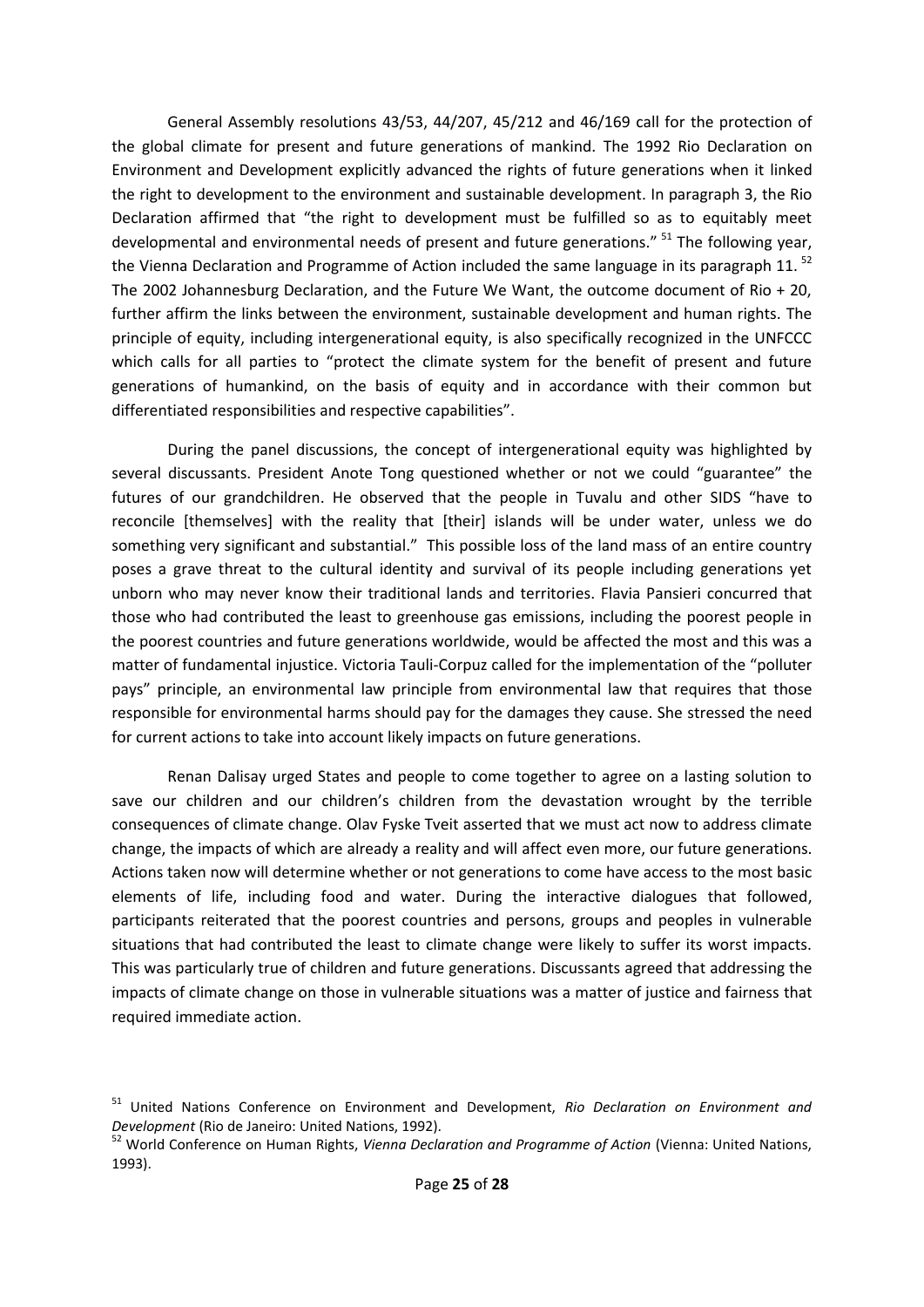General Assembly resolutions 43/53, 44/207, 45/212 and 46/169 call for the protection of the global climate for present and future generations of mankind. The 1992 Rio Declaration on Environment and Development explicitly advanced the rights of future generations when it linked the right to development to the environment and sustainable development. In paragraph 3, the Rio Declaration affirmed that "the right to development must be fulfilled so as to equitably meet developmental and environmental needs of present and future generations." <sup>51</sup> The following year, the Vienna Declaration and Programme of Action included the same language in its paragraph 11.  $^{52}$ The 2002 Johannesburg Declaration, and the Future We Want, the outcome document of Rio + 20, further affirm the links between the environment, sustainable development and human rights. The principle of equity, including intergenerational equity, is also specifically recognized in the UNFCCC which calls for all parties to "protect the climate system for the benefit of present and future generations of humankind, on the basis of equity and in accordance with their common but differentiated responsibilities and respective capabilities".

During the panel discussions, the concept of intergenerational equity was highlighted by several discussants. President Anote Tong questioned whether or not we could "guarantee" the futures of our grandchildren. He observed that the people in Tuvalu and other SIDS "have to reconcile [themselves] with the reality that [their] islands will be under water, unless we do something very significant and substantial." This possible loss of the land mass of an entire country poses a grave threat to the cultural identity and survival of its people including generations yet unborn who may never know their traditional lands and territories. Flavia Pansieri concurred that those who had contributed the least to greenhouse gas emissions, including the poorest people in the poorest countries and future generations worldwide, would be affected the most and this was a matter of fundamental injustice. Victoria Tauli-Corpuz called for the implementation of the "polluter pays" principle, an environmental law principle from environmental law that requires that those responsible for environmental harms should pay for the damages they cause. She stressed the need for current actions to take into account likely impacts on future generations.

Renan Dalisay urged States and people to come together to agree on a lasting solution to save our children and our children's children from the devastation wrought by the terrible consequences of climate change. Olav Fyske Tveit asserted that we must act now to address climate change, the impacts of which are already a reality and will affect even more, our future generations. Actions taken now will determine whether or not generations to come have access to the most basic elements of life, including food and water. During the interactive dialogues that followed, participants reiterated that the poorest countries and persons, groups and peoples in vulnerable situations that had contributed the least to climate change were likely to suffer its worst impacts. This was particularly true of children and future generations. Discussants agreed that addressing the impacts of climate change on those in vulnerable situations was a matter of justice and fairness that required immediate action.

<sup>51</sup> United Nations Conference on Environment and Development, *Rio Declaration on Environment and Development* (Rio de Janeiro: United Nations, 1992).

<sup>52</sup> World Conference on Human Rights, *Vienna Declaration and Programme of Action* (Vienna: United Nations, 1993).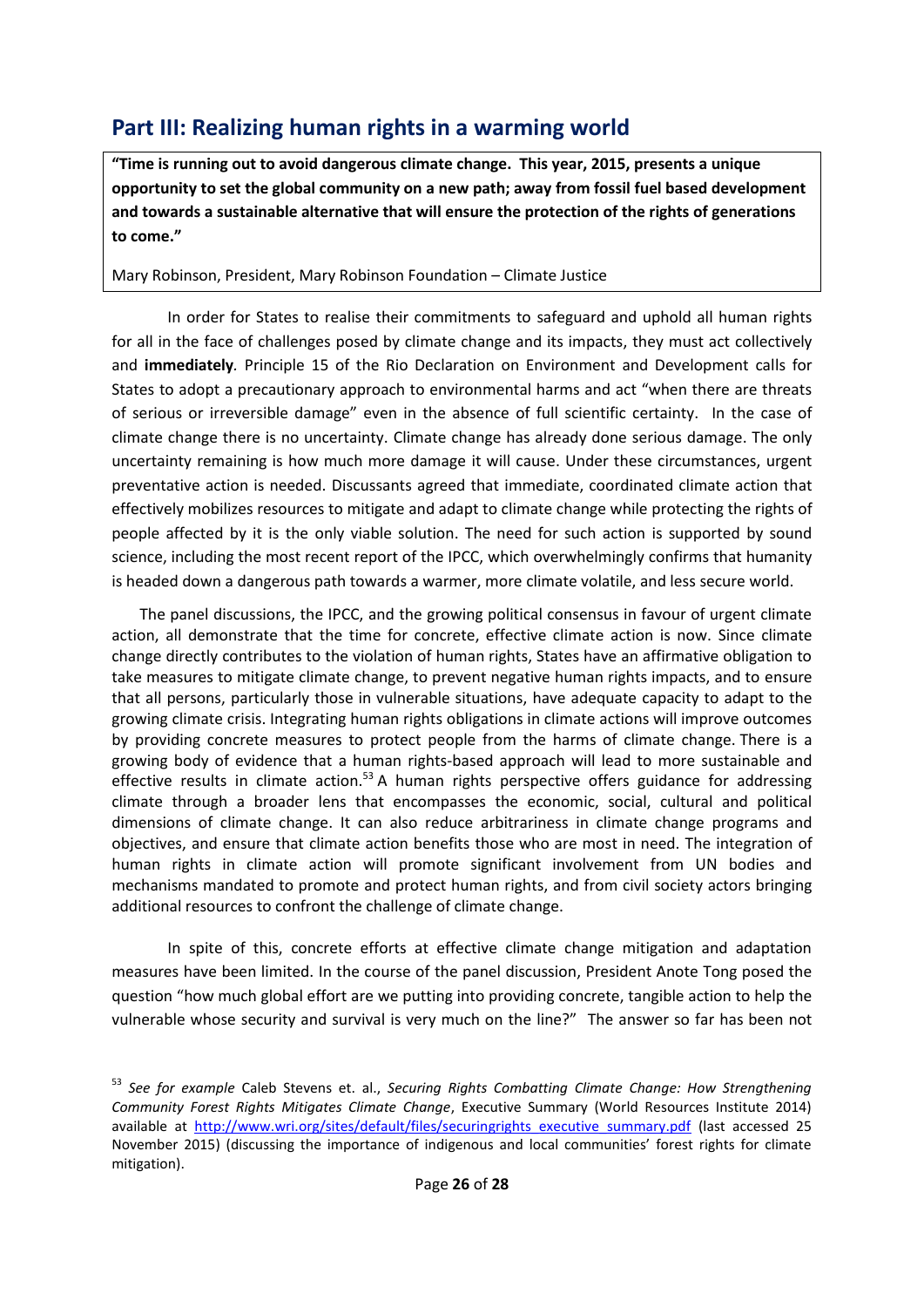# <span id="page-25-0"></span>**Part III: Realizing human rights in a warming world**

**"Time is running out to avoid dangerous climate change. This year, 2015, presents a unique opportunity to set the global community on a new path; away from fossil fuel based development and towards a sustainable alternative that will ensure the protection of the rights of generations to come."** 

Mary Robinson, President, Mary Robinson Foundation – Climate Justice

In order for States to realise their commitments to safeguard and uphold all human rights for all in the face of challenges posed by climate change and its impacts, they must act collectively and **immediately***.* Principle 15 of the Rio Declaration on Environment and Development calls for States to adopt a precautionary approach to environmental harms and act "when there are threats of serious or irreversible damage" even in the absence of full scientific certainty. In the case of climate change there is no uncertainty. Climate change has already done serious damage. The only uncertainty remaining is how much more damage it will cause. Under these circumstances, urgent preventative action is needed. Discussants agreed that immediate, coordinated climate action that effectively mobilizes resources to mitigate and adapt to climate change while protecting the rights of people affected by it is the only viable solution. The need for such action is supported by sound science, including the most recent report of the IPCC, which overwhelmingly confirms that humanity is headed down a dangerous path towards a warmer, more climate volatile, and less secure world.

The panel discussions, the IPCC, and the growing political consensus in favour of urgent climate action, all demonstrate that the time for concrete, effective climate action is now. Since climate change directly contributes to the violation of human rights, States have an affirmative obligation to take measures to mitigate climate change, to prevent negative human rights impacts, and to ensure that all persons, particularly those in vulnerable situations, have adequate capacity to adapt to the growing climate crisis. Integrating human rights obligations in climate actions will improve outcomes by providing concrete measures to protect people from the harms of climate change. There is a growing body of evidence that a human rights-based approach will lead to more sustainable and effective results in climate action.<sup>53</sup> A human rights perspective offers guidance for addressing climate through a broader lens that encompasses the economic, social, cultural and political dimensions of climate change. It can also reduce arbitrariness in climate change programs and objectives, and ensure that climate action benefits those who are most in need. The integration of human rights in climate action will promote significant involvement from UN bodies and mechanisms mandated to promote and protect human rights, and from civil society actors bringing additional resources to confront the challenge of climate change.

In spite of this, concrete efforts at effective climate change mitigation and adaptation measures have been limited. In the course of the panel discussion, President Anote Tong posed the question "how much global effort are we putting into providing concrete, tangible action to help the vulnerable whose security and survival is very much on the line?" The answer so far has been not

<sup>53</sup> *See for example* Caleb Stevens et. al., *Securing Rights Combatting Climate Change: How Strengthening Community Forest Rights Mitigates Climate Change*, Executive Summary (World Resources Institute 2014) available at [http://www.wri.org/sites/default/files/securingrights\\_executive\\_summary.pdf](http://www.wri.org/sites/default/files/securingrights_executive_summary.pdf) (last accessed 25 November 2015) (discussing the importance of indigenous and local communities' forest rights for climate mitigation).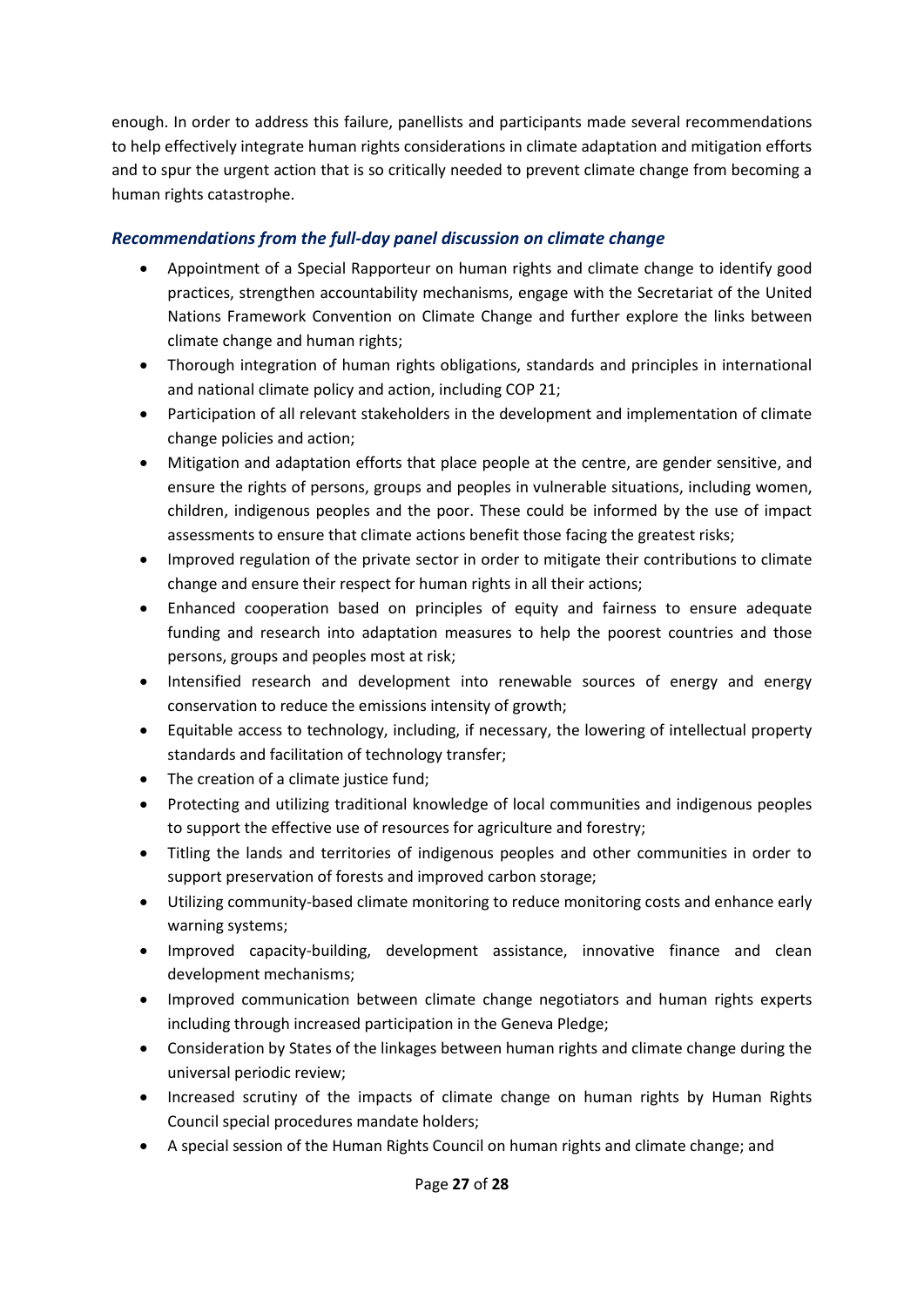enough. In order to address this failure, panellists and participants made several recommendations to help effectively integrate human rights considerations in climate adaptation and mitigation efforts and to spur the urgent action that is so critically needed to prevent climate change from becoming a human rights catastrophe.

# <span id="page-26-0"></span>*Recommendations from the full-day panel discussion on climate change*

- Appointment of a Special Rapporteur on human rights and climate change to identify good practices, strengthen accountability mechanisms, engage with the Secretariat of the United Nations Framework Convention on Climate Change and further explore the links between climate change and human rights;
- Thorough integration of human rights obligations, standards and principles in international and national climate policy and action, including COP 21;
- Participation of all relevant stakeholders in the development and implementation of climate change policies and action;
- Mitigation and adaptation efforts that place people at the centre, are gender sensitive, and ensure the rights of persons, groups and peoples in vulnerable situations, including women, children, indigenous peoples and the poor. These could be informed by the use of impact assessments to ensure that climate actions benefit those facing the greatest risks;
- Improved regulation of the private sector in order to mitigate their contributions to climate change and ensure their respect for human rights in all their actions;
- Enhanced cooperation based on principles of equity and fairness to ensure adequate funding and research into adaptation measures to help the poorest countries and those persons, groups and peoples most at risk;
- Intensified research and development into renewable sources of energy and energy conservation to reduce the emissions intensity of growth;
- Equitable access to technology, including, if necessary, the lowering of intellectual property standards and facilitation of technology transfer;
- The creation of a climate justice fund:
- Protecting and utilizing traditional knowledge of local communities and indigenous peoples to support the effective use of resources for agriculture and forestry;
- Titling the lands and territories of indigenous peoples and other communities in order to support preservation of forests and improved carbon storage;
- Utilizing community-based climate monitoring to reduce monitoring costs and enhance early warning systems;
- Improved capacity-building, development assistance, innovative finance and clean development mechanisms;
- Improved communication between climate change negotiators and human rights experts including through increased participation in the Geneva Pledge;
- Consideration by States of the linkages between human rights and climate change during the universal periodic review;
- Increased scrutiny of the impacts of climate change on human rights by Human Rights Council special procedures mandate holders;
- A special session of the Human Rights Council on human rights and climate change; and